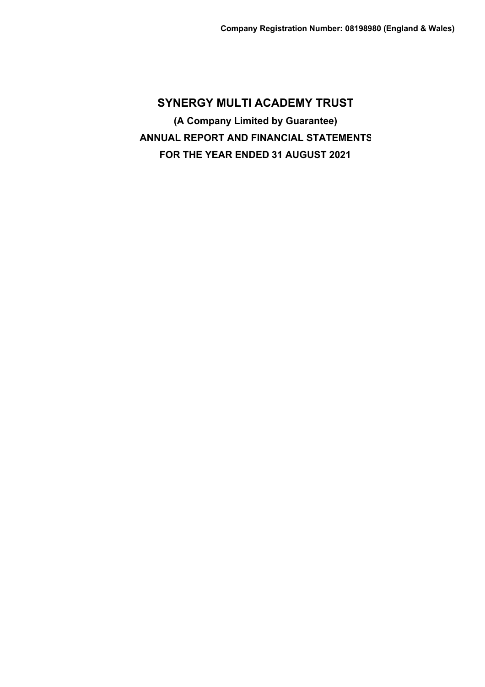**SYNERGY MULTI ACADEMY TRUST (A Company Limited by Guarantee) ANNUAL REPORT AND FINANCIAL STATEMENTS FOR THE YEAR ENDED 31 AUGUST 2021**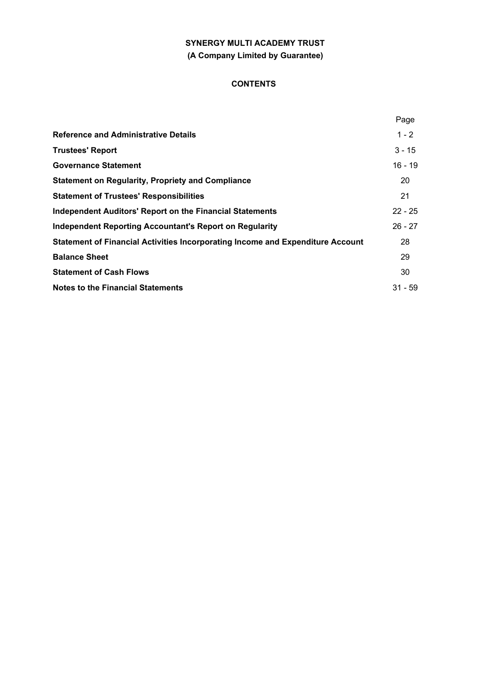# **SYNERGY MULTI ACADEMY TRUST (A Company Limited by Guarantee)**

# **CONTENTS**

|                                                                                | Page      |
|--------------------------------------------------------------------------------|-----------|
| <b>Reference and Administrative Details</b>                                    | $1 - 2$   |
| <b>Trustees' Report</b>                                                        | $3 - 15$  |
| <b>Governance Statement</b>                                                    | $16 - 19$ |
| <b>Statement on Regularity, Propriety and Compliance</b>                       | 20        |
| <b>Statement of Trustees' Responsibilities</b>                                 | 21        |
| <b>Independent Auditors' Report on the Financial Statements</b>                | $22 - 25$ |
| Independent Reporting Accountant's Report on Regularity                        | $26 - 27$ |
| Statement of Financial Activities Incorporating Income and Expenditure Account | 28        |
| <b>Balance Sheet</b>                                                           | 29        |
| <b>Statement of Cash Flows</b>                                                 | 30        |
| <b>Notes to the Financial Statements</b>                                       | $31 - 59$ |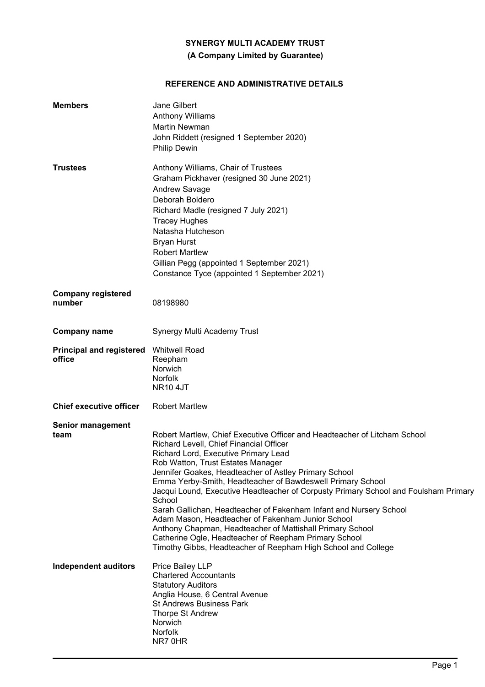# **(A Company Limited by Guarantee)**

# **REFERENCE AND ADMINISTRATIVE DETAILS**

| <b>Members</b>                            | Jane Gilbert<br><b>Anthony Williams</b><br>Martin Newman<br>John Riddett (resigned 1 September 2020)<br><b>Philip Dewin</b>                                                                                                                                                                                                                                                                                                                                                                                                                                                                                                                                                                                                                 |
|-------------------------------------------|---------------------------------------------------------------------------------------------------------------------------------------------------------------------------------------------------------------------------------------------------------------------------------------------------------------------------------------------------------------------------------------------------------------------------------------------------------------------------------------------------------------------------------------------------------------------------------------------------------------------------------------------------------------------------------------------------------------------------------------------|
| <b>Trustees</b>                           | Anthony Williams, Chair of Trustees<br>Graham Pickhaver (resigned 30 June 2021)<br>Andrew Savage<br>Deborah Boldero<br>Richard Madle (resigned 7 July 2021)<br><b>Tracey Hughes</b><br>Natasha Hutcheson<br><b>Bryan Hurst</b><br><b>Robert Martlew</b><br>Gillian Pegg (appointed 1 September 2021)<br>Constance Tyce (appointed 1 September 2021)                                                                                                                                                                                                                                                                                                                                                                                         |
| <b>Company registered</b><br>number       | 08198980                                                                                                                                                                                                                                                                                                                                                                                                                                                                                                                                                                                                                                                                                                                                    |
| <b>Company name</b>                       | Synergy Multi Academy Trust                                                                                                                                                                                                                                                                                                                                                                                                                                                                                                                                                                                                                                                                                                                 |
| <b>Principal and registered</b><br>office | <b>Whitwell Road</b><br>Reepham<br>Norwich<br><b>Norfolk</b><br><b>NR10 4JT</b>                                                                                                                                                                                                                                                                                                                                                                                                                                                                                                                                                                                                                                                             |
| <b>Chief executive officer</b>            | <b>Robert Martlew</b>                                                                                                                                                                                                                                                                                                                                                                                                                                                                                                                                                                                                                                                                                                                       |
| Senior management<br>team                 | Robert Martlew, Chief Executive Officer and Headteacher of Litcham School<br>Richard Levell, Chief Financial Officer<br>Richard Lord, Executive Primary Lead<br>Rob Watton, Trust Estates Manager<br>Jennifer Goakes, Headteacher of Astley Primary School<br>Emma Yerby-Smith, Headteacher of Bawdeswell Primary School<br>Jacqui Lound, Executive Headteacher of Corpusty Primary School and Foulsham Primary<br>School<br>Sarah Gallichan, Headteacher of Fakenham Infant and Nursery School<br>Adam Mason, Headteacher of Fakenham Junior School<br>Anthony Chapman, Headteacher of Mattishall Primary School<br>Catherine Ogle, Headteacher of Reepham Primary School<br>Timothy Gibbs, Headteacher of Reepham High School and College |
| <b>Independent auditors</b>               | Price Bailey LLP<br><b>Chartered Accountants</b><br><b>Statutory Auditors</b><br>Anglia House, 6 Central Avenue<br><b>St Andrews Business Park</b><br>Thorpe St Andrew<br>Norwich<br>Norfolk<br>NR7 0HR                                                                                                                                                                                                                                                                                                                                                                                                                                                                                                                                     |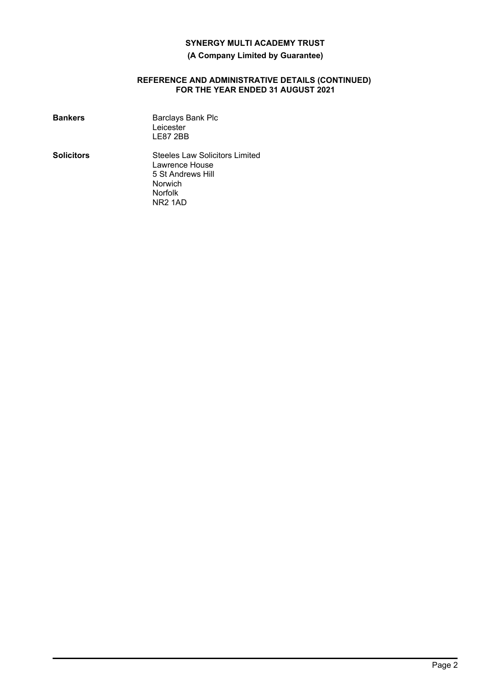## **(A Company Limited by Guarantee)**

#### **REFERENCE AND ADMINISTRATIVE DETAILS (CONTINUED) FOR THE YEAR ENDED 31 AUGUST 2021**

| <b>Bankers</b>    | <b>Barclays Bank Plc</b><br>Leicester<br>LE87 2BB                                                             |
|-------------------|---------------------------------------------------------------------------------------------------------------|
| <b>Solicitors</b> | Steeles Law Solicitors Limited<br>Lawrence House<br>5 St Andrews Hill<br>Norwich<br><b>Norfolk</b><br>NR2 1AD |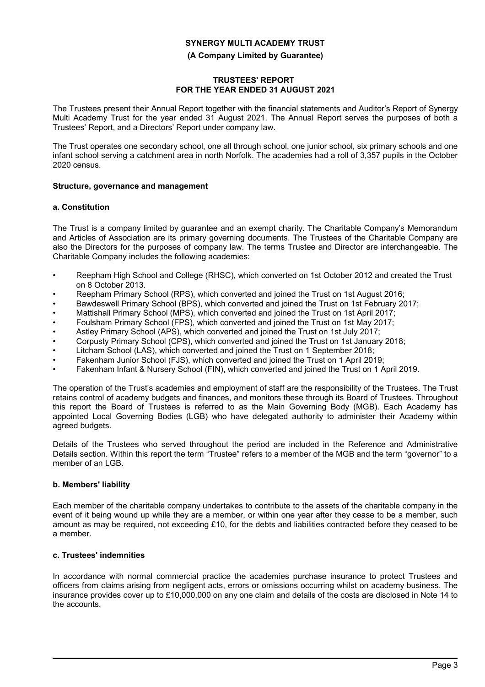#### **(A Company Limited by Guarantee)**

## **TRUSTEES' REPORT FOR THE YEAR ENDED 31 AUGUST 2021**

The Trustees present their Annual Report together with the financial statements and Auditor's Report of Synergy Multi Academy Trust for the year ended 31 August 2021. The Annual Report serves the purposes of both a Trustees' Report, and a Directors' Report under company law.

The Trust operates one secondary school, one all through school, one junior school, six primary schools and one infant school serving a catchment area in north Norfolk. The academies had a roll of 3,357 pupils in the October 2020 census.

## **Structure, governance and management**

## **a. Constitution**

The Trust is a company limited by guarantee and an exempt charity. The Charitable Company's Memorandum and Articles of Association are its primary governing documents. The Trustees of the Charitable Company are also the Directors for the purposes of company law. The terms Trustee and Director are interchangeable. The Charitable Company includes the following academies:

- Reepham High School and College (RHSC), which converted on 1st October 2012 and created the Trust on 8 October 2013.
- Reepham Primary School (RPS), which converted and joined the Trust on 1st August 2016;
- Bawdeswell Primary School (BPS), which converted and joined the Trust on 1st February 2017;
- Mattishall Primary School (MPS), which converted and joined the Trust on 1st April 2017;
- Foulsham Primary School (FPS), which converted and joined the Trust on 1st May 2017;
- Astley Primary School (APS), which converted and joined the Trust on 1st July 2017;
- Corpusty Primary School (CPS), which converted and joined the Trust on 1st January 2018;
- Litcham School (LAS), which converted and joined the Trust on 1 September 2018;
- Fakenham Junior School (FJS), which converted and joined the Trust on 1 April 2019;
- Fakenham Infant & Nursery School (FIN), which converted and joined the Trust on 1 April 2019.

The operation of the Trust's academies and employment of staff are the responsibility of the Trustees. The Trust retains control of academy budgets and finances, and monitors these through its Board of Trustees. Throughout this report the Board of Trustees is referred to as the Main Governing Body (MGB). Each Academy has appointed Local Governing Bodies (LGB) who have delegated authority to administer their Academy within agreed budgets.

Details of the Trustees who served throughout the period are included in the Reference and Administrative Details section. Within this report the term "Trustee" refers to a member of the MGB and the term "governor" to a member of an LGB.

#### **b. Members' liability**

Each member of the charitable company undertakes to contribute to the assets of the charitable company in the event of it being wound up while they are a member, or within one year after they cease to be a member, such amount as may be required, not exceeding £10, for the debts and liabilities contracted before they ceased to be a member.

## **c. Trustees' indemnities**

In accordance with normal commercial practice the academies purchase insurance to protect Trustees and officers from claims arising from negligent acts, errors or omissions occurring whilst on academy business. The insurance provides cover up to £10,000,000 on any one claim and details of the costs are disclosed in Note 14 to the accounts.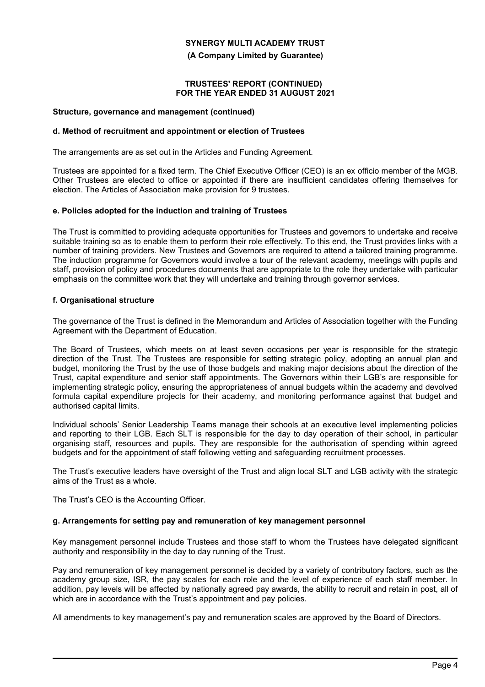**(A Company Limited by Guarantee)**

#### **TRUSTEES' REPORT (CONTINUED) FOR THE YEAR ENDED 31 AUGUST 2021**

#### **Structure, governance and management (continued)**

## **d. Method of recruitment and appointment or election of Trustees**

The arrangements are as set out in the Articles and Funding Agreement.

Trustees are appointed for a fixed term. The Chief Executive Officer (CEO) is an ex officio member of the MGB. Other Trustees are elected to office or appointed if there are insufficient candidates offering themselves for election. The Articles of Association make provision for 9 trustees.

## **e. Policies adopted for the induction and training of Trustees**

The Trust is committed to providing adequate opportunities for Trustees and governors to undertake and receive suitable training so as to enable them to perform their role effectively. To this end, the Trust provides links with a number of training providers. New Trustees and Governors are required to attend a tailored training programme. The induction programme for Governors would involve a tour of the relevant academy, meetings with pupils and staff, provision of policy and procedures documents that are appropriate to the role they undertake with particular emphasis on the committee work that they will undertake and training through governor services.

## **f. Organisational structure**

The governance of the Trust is defined in the Memorandum and Articles of Association together with the Funding Agreement with the Department of Education.

The Board of Trustees, which meets on at least seven occasions per year is responsible for the strategic direction of the Trust. The Trustees are responsible for setting strategic policy, adopting an annual plan and budget, monitoring the Trust by the use of those budgets and making major decisions about the direction of the Trust, capital expenditure and senior staff appointments. The Governors within their LGB's are responsible for implementing strategic policy, ensuring the appropriateness of annual budgets within the academy and devolved formula capital expenditure projects for their academy, and monitoring performance against that budget and authorised capital limits.

Individual schools' Senior Leadership Teams manage their schools at an executive level implementing policies and reporting to their LGB. Each SLT is responsible for the day to day operation of their school, in particular organising staff, resources and pupils. They are responsible for the authorisation of spending within agreed budgets and for the appointment of staff following vetting and safeguarding recruitment processes.

The Trust's executive leaders have oversight of the Trust and align local SLT and LGB activity with the strategic aims of the Trust as a whole.

The Trust's CEO is the Accounting Officer.

#### **g. Arrangements for setting pay and remuneration of key management personnel**

Key management personnel include Trustees and those staff to whom the Trustees have delegated significant authority and responsibility in the day to day running of the Trust.

Pay and remuneration of key management personnel is decided by a variety of contributory factors, such as the academy group size, ISR, the pay scales for each role and the level of experience of each staff member. In addition, pay levels will be affected by nationally agreed pay awards, the ability to recruit and retain in post, all of which are in accordance with the Trust's appointment and pay policies.

All amendments to key management's pay and remuneration scales are approved by the Board of Directors.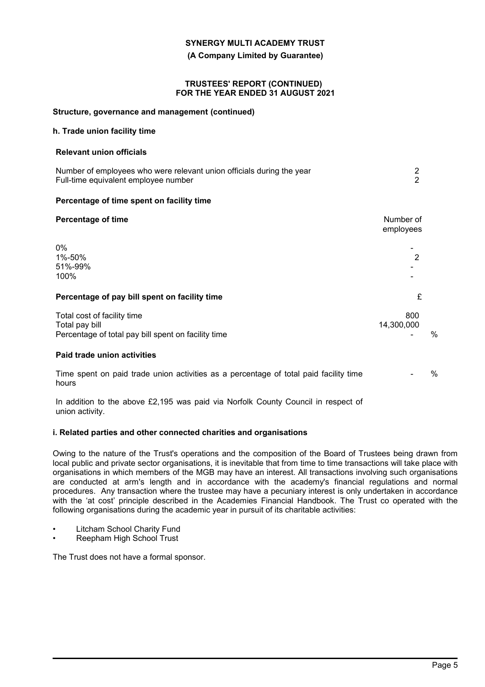**(A Company Limited by Guarantee)**

#### **TRUSTEES' REPORT (CONTINUED) FOR THE YEAR ENDED 31 AUGUST 2021**

#### **Structure, governance and management (continued)**

## **h. Trade union facility time**

#### **Relevant union officials**

| Number of employees who were relevant union officials during the year |  |
|-----------------------------------------------------------------------|--|
| Full-time equivalent employee number                                  |  |

## **Percentage of time spent on facility time**

| <b>Percentage of time</b>                                                                            | Number of<br>employees |   |
|------------------------------------------------------------------------------------------------------|------------------------|---|
| 0%<br>1%-50%<br>51%-99%<br>100%                                                                      | 2                      |   |
| Percentage of pay bill spent on facility time                                                        | £                      |   |
| Total cost of facility time<br>Total pay bill<br>Percentage of total pay bill spent on facility time | 800<br>14,300,000      | % |
| Paid trade union activities                                                                          |                        |   |
| Time spent on paid trade union activities as a percentage of total paid facility time<br>hours       |                        | % |

In addition to the above £2,195 was paid via Norfolk County Council in respect of union activity.

## **i. Related parties and other connected charities and organisations**

Owing to the nature of the Trust's operations and the composition of the Board of Trustees being drawn from local public and private sector organisations, it is inevitable that from time to time transactions will take place with organisations in which members of the MGB may have an interest. All transactions involving such organisations are conducted at arm's length and in accordance with the academy's financial regulations and normal procedures. Any transaction where the trustee may have a pecuniary interest is only undertaken in accordance with the 'at cost' principle described in the Academies Financial Handbook. The Trust co operated with the following organisations during the academic year in pursuit of its charitable activities:

- Litcham School Charity Fund
- Reepham High School Trust

The Trust does not have a formal sponsor.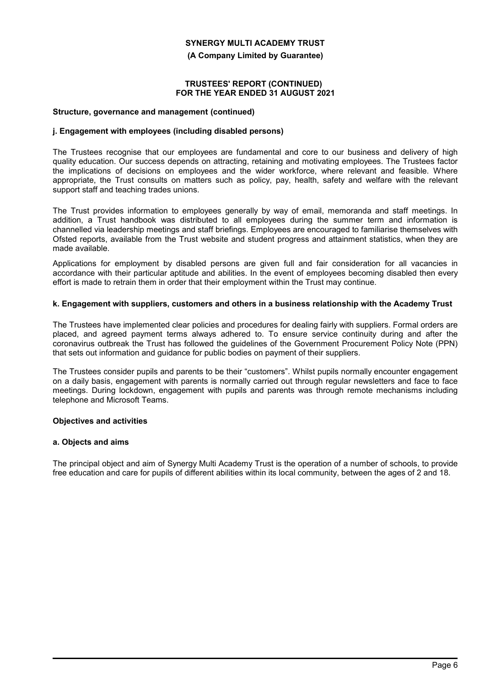**(A Company Limited by Guarantee)**

#### **TRUSTEES' REPORT (CONTINUED) FOR THE YEAR ENDED 31 AUGUST 2021**

#### **Structure, governance and management (continued)**

## **j. Engagement with employees (including disabled persons)**

The Trustees recognise that our employees are fundamental and core to our business and delivery of high quality education. Our success depends on attracting, retaining and motivating employees. The Trustees factor the implications of decisions on employees and the wider workforce, where relevant and feasible. Where appropriate, the Trust consults on matters such as policy, pay, health, safety and welfare with the relevant support staff and teaching trades unions.

The Trust provides information to employees generally by way of email, memoranda and staff meetings. In addition, a Trust handbook was distributed to all employees during the summer term and information is channelled via leadership meetings and staff briefings. Employees are encouraged to familiarise themselves with Ofsted reports, available from the Trust website and student progress and attainment statistics, when they are made available.

Applications for employment by disabled persons are given full and fair consideration for all vacancies in accordance with their particular aptitude and abilities. In the event of employees becoming disabled then every effort is made to retrain them in order that their employment within the Trust may continue.

## **k. Engagement with suppliers, customers and others in a business relationship with the Academy Trust**

The Trustees have implemented clear policies and procedures for dealing fairly with suppliers. Formal orders are placed, and agreed payment terms always adhered to. To ensure service continuity during and after the coronavirus outbreak the Trust has followed the guidelines of the Government Procurement Policy Note (PPN) that sets out information and guidance for public bodies on payment of their suppliers.

The Trustees consider pupils and parents to be their "customers". Whilst pupils normally encounter engagement on a daily basis, engagement with parents is normally carried out through regular newsletters and face to face meetings. During lockdown, engagement with pupils and parents was through remote mechanisms including telephone and Microsoft Teams.

## **Objectives and activities**

## **a. Objects and aims**

The principal object and aim of Synergy Multi Academy Trust is the operation of a number of schools, to provide free education and care for pupils of different abilities within its local community, between the ages of 2 and 18.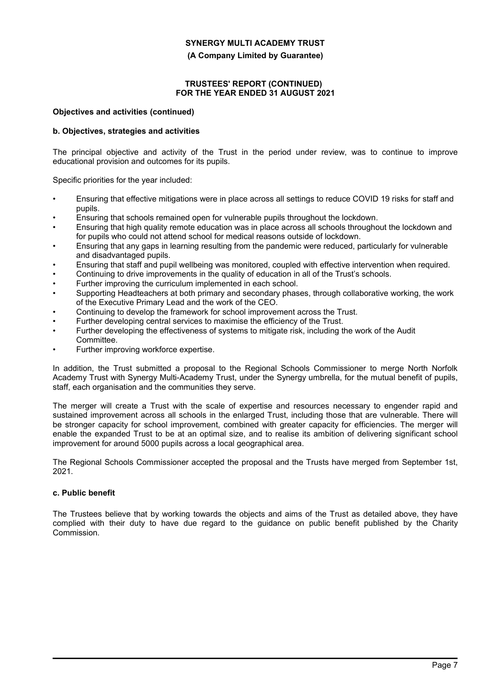**(A Company Limited by Guarantee)**

## **TRUSTEES' REPORT (CONTINUED) FOR THE YEAR ENDED 31 AUGUST 2021**

#### **Objectives and activities (continued)**

## **b. Objectives, strategies and activities**

The principal objective and activity of the Trust in the period under review, was to continue to improve educational provision and outcomes for its pupils.

Specific priorities for the year included:

- Ensuring that effective mitigations were in place across all settings to reduce COVID 19 risks for staff and pupils.
- Ensuring that schools remained open for vulnerable pupils throughout the lockdown.
- Ensuring that high quality remote education was in place across all schools throughout the lockdown and for pupils who could not attend school for medical reasons outside of lockdown.
- Ensuring that any gaps in learning resulting from the pandemic were reduced, particularly for vulnerable and disadvantaged pupils.
- Ensuring that staff and pupil wellbeing was monitored, coupled with effective intervention when required.
- Continuing to drive improvements in the quality of education in all of the Trust's schools.
- Further improving the curriculum implemented in each school.
- Supporting Headteachers at both primary and secondary phases, through collaborative working, the work of the Executive Primary Lead and the work of the CEO.
- Continuing to develop the framework for school improvement across the Trust.
- Further developing central services to maximise the efficiency of the Trust.
- Further developing the effectiveness of systems to mitigate risk, including the work of the Audit Committee.
- Further improving workforce expertise.

In addition, the Trust submitted a proposal to the Regional Schools Commissioner to merge North Norfolk Academy Trust with Synergy Multi-Academy Trust, under the Synergy umbrella, for the mutual benefit of pupils, staff, each organisation and the communities they serve.

The merger will create a Trust with the scale of expertise and resources necessary to engender rapid and sustained improvement across all schools in the enlarged Trust, including those that are vulnerable. There will be stronger capacity for school improvement, combined with greater capacity for efficiencies. The merger will enable the expanded Trust to be at an optimal size, and to realise its ambition of delivering significant school improvement for around 5000 pupils across a local geographical area.

The Regional Schools Commissioner accepted the proposal and the Trusts have merged from September 1st, 2021.

## **c. Public benefit**

The Trustees believe that by working towards the objects and aims of the Trust as detailed above, they have complied with their duty to have due regard to the guidance on public benefit published by the Charity Commission.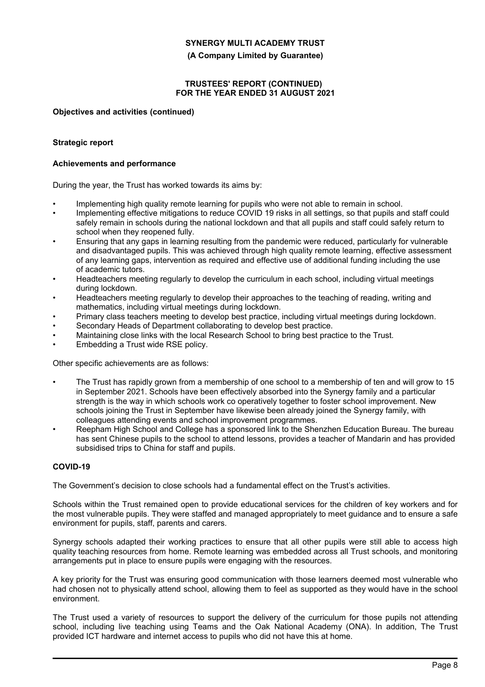**(A Company Limited by Guarantee)**

## **TRUSTEES' REPORT (CONTINUED) FOR THE YEAR ENDED 31 AUGUST 2021**

#### **Objectives and activities (continued)**

#### **Strategic report**

#### **Achievements and performance**

During the year, the Trust has worked towards its aims by:

- Implementing high quality remote learning for pupils who were not able to remain in school.
- Implementing effective mitigations to reduce COVID 19 risks in all settings, so that pupils and staff could safely remain in schools during the national lockdown and that all pupils and staff could safely return to school when they reopened fully.
- Ensuring that any gaps in learning resulting from the pandemic were reduced, particularly for vulnerable and disadvantaged pupils. This was achieved through high quality remote learning, effective assessment of any learning gaps, intervention as required and effective use of additional funding including the use of academic tutors.
- Headteachers meeting regularly to develop the curriculum in each school, including virtual meetings during lockdown.
- Headteachers meeting regularly to develop their approaches to the teaching of reading, writing and mathematics, including virtual meetings during lockdown.
- Primary class teachers meeting to develop best practice, including virtual meetings during lockdown.
- Secondary Heads of Department collaborating to develop best practice.
- Maintaining close links with the local Research School to bring best practice to the Trust.
- Embedding a Trust wide RSE policy.

Other specific achievements are as follows:

- The Trust has rapidly grown from a membership of one school to a membership of ten and will grow to 15 in September 2021. Schools have been effectively absorbed into the Synergy family and a particular strength is the way in which schools work co operatively together to foster school improvement. New schools joining the Trust in September have likewise been already joined the Synergy family, with colleagues attending events and school improvement programmes.
- Reepham High School and College has a sponsored link to the Shenzhen Education Bureau. The bureau has sent Chinese pupils to the school to attend lessons, provides a teacher of Mandarin and has provided subsidised trips to China for staff and pupils.

## **COVID-19**

The Government's decision to close schools had a fundamental effect on the Trust's activities.

Schools within the Trust remained open to provide educational services for the children of key workers and for the most vulnerable pupils. They were staffed and managed appropriately to meet guidance and to ensure a safe environment for pupils, staff, parents and carers.

Synergy schools adapted their working practices to ensure that all other pupils were still able to access high quality teaching resources from home. Remote learning was embedded across all Trust schools, and monitoring arrangements put in place to ensure pupils were engaging with the resources.

A key priority for the Trust was ensuring good communication with those learners deemed most vulnerable who had chosen not to physically attend school, allowing them to feel as supported as they would have in the school environment.

The Trust used a variety of resources to support the delivery of the curriculum for those pupils not attending school, including live teaching using Teams and the Oak National Academy (ONA). In addition, The Trust provided ICT hardware and internet access to pupils who did not have this at home.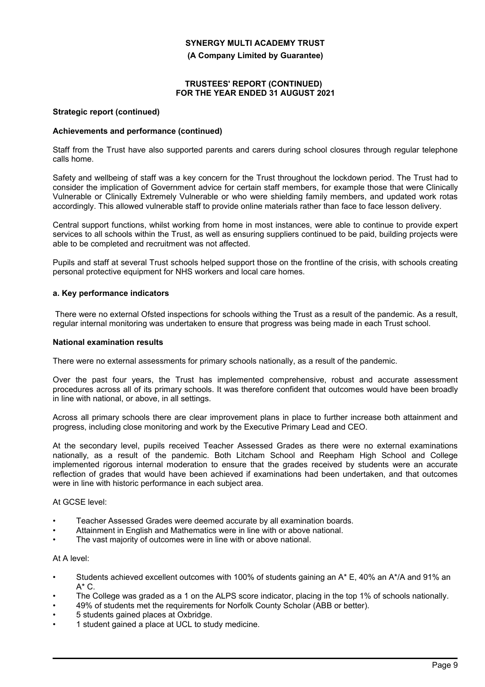**(A Company Limited by Guarantee)**

## **TRUSTEES' REPORT (CONTINUED) FOR THE YEAR ENDED 31 AUGUST 2021**

#### **Strategic report (continued)**

## **Achievements and performance (continued)**

Staff from the Trust have also supported parents and carers during school closures through regular telephone calls home.

Safety and wellbeing of staff was a key concern for the Trust throughout the lockdown period. The Trust had to consider the implication of Government advice for certain staff members, for example those that were Clinically Vulnerable or Clinically Extremely Vulnerable or who were shielding family members, and updated work rotas accordingly. This allowed vulnerable staff to provide online materials rather than face to face lesson delivery.

Central support functions, whilst working from home in most instances, were able to continue to provide expert services to all schools within the Trust, as well as ensuring suppliers continued to be paid, building projects were able to be completed and recruitment was not affected.

Pupils and staff at several Trust schools helped support those on the frontline of the crisis, with schools creating personal protective equipment for NHS workers and local care homes.

## **a. Key performance indicators**

 There were no external Ofsted inspections for schools withing the Trust as a result of the pandemic. As a result, regular internal monitoring was undertaken to ensure that progress was being made in each Trust school.

#### **National examination results**

There were no external assessments for primary schools nationally, as a result of the pandemic.

Over the past four years, the Trust has implemented comprehensive, robust and accurate assessment procedures across all of its primary schools. It was therefore confident that outcomes would have been broadly in line with national, or above, in all settings.

Across all primary schools there are clear improvement plans in place to further increase both attainment and progress, including close monitoring and work by the Executive Primary Lead and CEO.

At the secondary level, pupils received Teacher Assessed Grades as there were no external examinations nationally, as a result of the pandemic. Both Litcham School and Reepham High School and College implemented rigorous internal moderation to ensure that the grades received by students were an accurate reflection of grades that would have been achieved if examinations had been undertaken, and that outcomes were in line with historic performance in each subject area.

#### At GCSE level:

- Teacher Assessed Grades were deemed accurate by all examination boards.
- Attainment in English and Mathematics were in line with or above national.
- The vast majority of outcomes were in line with or above national.

#### At A level:

- Students achieved excellent outcomes with 100% of students gaining an A\* E, 40% an A\*/A and 91% an  $A^* C$ .
- The College was graded as a 1 on the ALPS score indicator, placing in the top 1% of schools nationally.
- 49% of students met the requirements for Norfolk County Scholar (ABB or better).
- 5 students gained places at Oxbridge.
- 1 student gained a place at UCL to study medicine.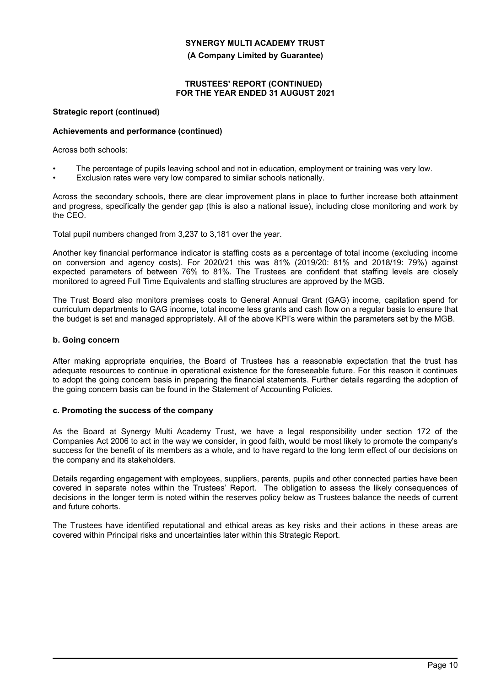**(A Company Limited by Guarantee)**

## **TRUSTEES' REPORT (CONTINUED) FOR THE YEAR ENDED 31 AUGUST 2021**

## **Strategic report (continued)**

## **Achievements and performance (continued)**

Across both schools:

- The percentage of pupils leaving school and not in education, employment or training was very low.
- Exclusion rates were very low compared to similar schools nationally.

Across the secondary schools, there are clear improvement plans in place to further increase both attainment and progress, specifically the gender gap (this is also a national issue), including close monitoring and work by the CEO.

Total pupil numbers changed from 3,237 to 3,181 over the year.

Another key financial performance indicator is staffing costs as a percentage of total income (excluding income on conversion and agency costs). For 2020/21 this was 81% (2019/20: 81% and 2018/19: 79%) against expected parameters of between 76% to 81%. The Trustees are confident that staffing levels are closely monitored to agreed Full Time Equivalents and staffing structures are approved by the MGB.

The Trust Board also monitors premises costs to General Annual Grant (GAG) income, capitation spend for curriculum departments to GAG income, total income less grants and cash flow on a regular basis to ensure that the budget is set and managed appropriately. All of the above KPI's were within the parameters set by the MGB.

## **b. Going concern**

After making appropriate enquiries, the Board of Trustees has a reasonable expectation that the trust has adequate resources to continue in operational existence for the foreseeable future. For this reason it continues to adopt the going concern basis in preparing the financial statements. Further details regarding the adoption of the going concern basis can be found in the Statement of Accounting Policies.

## **c. Promoting the success of the company**

As the Board at Synergy Multi Academy Trust, we have a legal responsibility under section 172 of the Companies Act 2006 to act in the way we consider, in good faith, would be most likely to promote the company's success for the benefit of its members as a whole, and to have regard to the long term effect of our decisions on the company and its stakeholders.

Details regarding engagement with employees, suppliers, parents, pupils and other connected parties have been covered in separate notes within the Trustees' Report. The obligation to assess the likely consequences of decisions in the longer term is noted within the reserves policy below as Trustees balance the needs of current and future cohorts.

The Trustees have identified reputational and ethical areas as key risks and their actions in these areas are covered within Principal risks and uncertainties later within this Strategic Report.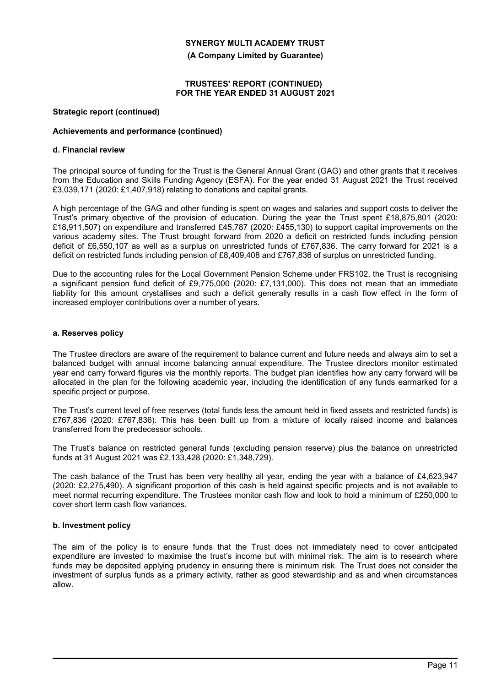**(A Company Limited by Guarantee)**

## **TRUSTEES' REPORT (CONTINUED) FOR THE YEAR ENDED 31 AUGUST 2021**

#### **Strategic report (continued)**

## **Achievements and performance (continued)**

#### **d. Financial review**

The principal source of funding for the Trust is the General Annual Grant (GAG) and other grants that it receives from the Education and Skills Funding Agency (ESFA). For the year ended 31 August 2021 the Trust received £3,039,171 (2020: £1,407,918) relating to donations and capital grants.

A high percentage of the GAG and other funding is spent on wages and salaries and support costs to deliver the Trust's primary objective of the provision of education. During the year the Trust spent £18,875,801 (2020: £18,911,507) on expenditure and transferred £45,787 (2020: £455,130) to support capital improvements on the various academy sites. The Trust brought forward from 2020 a deficit on restricted funds including pension deficit of £6,550,107 as well as a surplus on unrestricted funds of £767,836. The carry forward for 2021 is a deficit on restricted funds including pension of £8,409,408 and £767,836 of surplus on unrestricted funding.

Due to the accounting rules for the Local Government Pension Scheme under FRS102, the Trust is recognising a significant pension fund deficit of £9,775,000 (2020: £7,131,000). This does not mean that an immediate liability for this amount crystallises and such a deficit generally results in a cash flow effect in the form of increased employer contributions over a number of years.

## **a. Reserves policy**

The Trustee directors are aware of the requirement to balance current and future needs and always aim to set a balanced budget with annual income balancing annual expenditure. The Trustee directors monitor estimated year end carry forward figures via the monthly reports. The budget plan identifies how any carry forward will be allocated in the plan for the following academic year, including the identification of any funds earmarked for a specific project or purpose.

The Trust's current level of free reserves (total funds less the amount held in fixed assets and restricted funds) is £767,836 (2020: £767,836). This has been built up from a mixture of locally raised income and balances transferred from the predecessor schools.

The Trust's balance on restricted general funds (excluding pension reserve) plus the balance on unrestricted funds at 31 August 2021 was £2,133,428 (2020: £1,348,729).

The cash balance of the Trust has been very healthy all year, ending the year with a balance of £4,623,947 (2020: £2,275,490). A significant proportion of this cash is held against specific projects and is not available to meet normal recurring expenditure. The Trustees monitor cash flow and look to hold a minimum of £250,000 to cover short term cash flow variances.

## **b. Investment policy**

The aim of the policy is to ensure funds that the Trust does not immediately need to cover anticipated expenditure are invested to maximise the trust's income but with minimal risk. The aim is to research where funds may be deposited applying prudency in ensuring there is minimum risk. The Trust does not consider the investment of surplus funds as a primary activity, rather as good stewardship and as and when circumstances allow.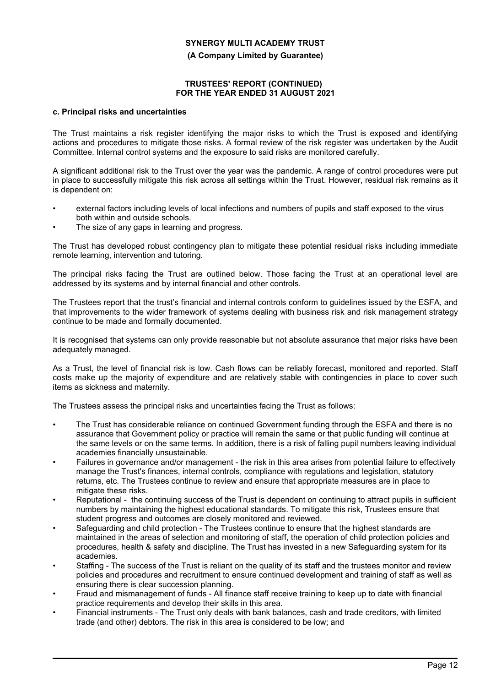**(A Company Limited by Guarantee)**

## **TRUSTEES' REPORT (CONTINUED) FOR THE YEAR ENDED 31 AUGUST 2021**

#### **c. Principal risks and uncertainties**

The Trust maintains a risk register identifying the major risks to which the Trust is exposed and identifying actions and procedures to mitigate those risks. A formal review of the risk register was undertaken by the Audit Committee. Internal control systems and the exposure to said risks are monitored carefully.

A significant additional risk to the Trust over the year was the pandemic. A range of control procedures were put in place to successfully mitigate this risk across all settings within the Trust. However, residual risk remains as it is dependent on:

- external factors including levels of local infections and numbers of pupils and staff exposed to the virus both within and outside schools.
- The size of any gaps in learning and progress.

The Trust has developed robust contingency plan to mitigate these potential residual risks including immediate remote learning, intervention and tutoring.

The principal risks facing the Trust are outlined below. Those facing the Trust at an operational level are addressed by its systems and by internal financial and other controls.

The Trustees report that the trust's financial and internal controls conform to guidelines issued by the ESFA, and that improvements to the wider framework of systems dealing with business risk and risk management strategy continue to be made and formally documented.

It is recognised that systems can only provide reasonable but not absolute assurance that major risks have been adequately managed.

As a Trust, the level of financial risk is low. Cash flows can be reliably forecast, monitored and reported. Staff costs make up the majority of expenditure and are relatively stable with contingencies in place to cover such items as sickness and maternity.

The Trustees assess the principal risks and uncertainties facing the Trust as follows:

- The Trust has considerable reliance on continued Government funding through the ESFA and there is no assurance that Government policy or practice will remain the same or that public funding will continue at the same levels or on the same terms. In addition, there is a risk of falling pupil numbers leaving individual academies financially unsustainable.
- Failures in governance and/or management the risk in this area arises from potential failure to effectively manage the Trust's finances, internal controls, compliance with regulations and legislation, statutory returns, etc. The Trustees continue to review and ensure that appropriate measures are in place to mitigate these risks.
- Reputational the continuing success of the Trust is dependent on continuing to attract pupils in sufficient numbers by maintaining the highest educational standards. To mitigate this risk, Trustees ensure that student progress and outcomes are closely monitored and reviewed.
- Safeguarding and child protection The Trustees continue to ensure that the highest standards are maintained in the areas of selection and monitoring of staff, the operation of child protection policies and procedures, health & safety and discipline. The Trust has invested in a new Safeguarding system for its academies.
- Staffing The success of the Trust is reliant on the quality of its staff and the trustees monitor and review policies and procedures and recruitment to ensure continued development and training of staff as well as ensuring there is clear succession planning.
- Fraud and mismanagement of funds All finance staff receive training to keep up to date with financial practice requirements and develop their skills in this area.
- Financial instruments The Trust only deals with bank balances, cash and trade creditors, with limited trade (and other) debtors. The risk in this area is considered to be low; and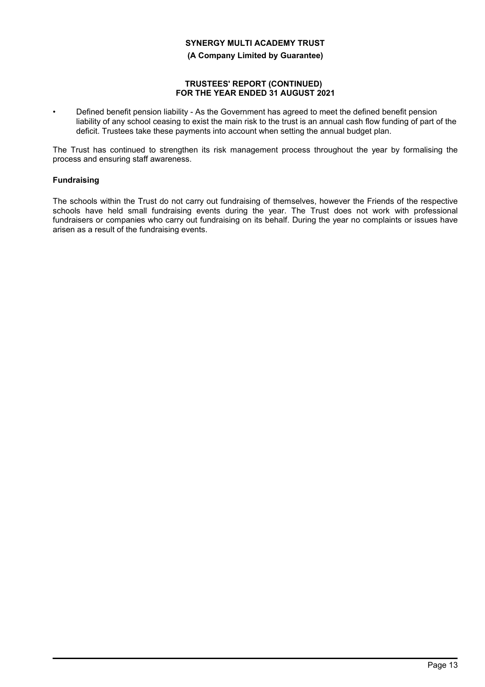**(A Company Limited by Guarantee)**

## **TRUSTEES' REPORT (CONTINUED) FOR THE YEAR ENDED 31 AUGUST 2021**

• Defined benefit pension liability - As the Government has agreed to meet the defined benefit pension liability of any school ceasing to exist the main risk to the trust is an annual cash flow funding of part of the deficit. Trustees take these payments into account when setting the annual budget plan.

The Trust has continued to strengthen its risk management process throughout the year by formalising the process and ensuring staff awareness.

## **Fundraising**

The schools within the Trust do not carry out fundraising of themselves, however the Friends of the respective schools have held small fundraising events during the year. The Trust does not work with professional fundraisers or companies who carry out fundraising on its behalf. During the year no complaints or issues have arisen as a result of the fundraising events.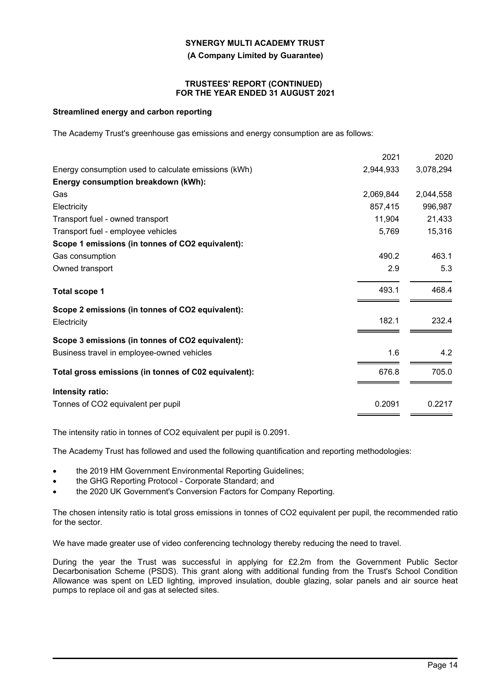**(A Company Limited by Guarantee)**

#### **TRUSTEES' REPORT (CONTINUED) FOR THE YEAR ENDED 31 AUGUST 2021**

## **Streamlined energy and carbon reporting**

The Academy Trust's greenhouse gas emissions and energy consumption are as follows:

|                                                      | 2021      | 2020      |
|------------------------------------------------------|-----------|-----------|
| Energy consumption used to calculate emissions (kWh) | 2,944,933 | 3,078,294 |
| Energy consumption breakdown (kWh):                  |           |           |
| Gas                                                  | 2,069,844 | 2,044,558 |
| Electricity                                          | 857,415   | 996,987   |
| Transport fuel - owned transport                     | 11,904    | 21,433    |
| Transport fuel - employee vehicles                   | 5,769     | 15,316    |
| Scope 1 emissions (in tonnes of CO2 equivalent):     |           |           |
| Gas consumption                                      | 490.2     | 463.1     |
| Owned transport                                      | 2.9       | 5.3       |
| <b>Total scope 1</b>                                 | 493.1     | 468.4     |
| Scope 2 emissions (in tonnes of CO2 equivalent):     |           |           |
| Electricity                                          | 182.1     | 232.4     |
| Scope 3 emissions (in tonnes of CO2 equivalent):     |           |           |
| Business travel in employee-owned vehicles           | 1.6       | 4.2       |
| Total gross emissions (in tonnes of C02 equivalent): | 676.8     | 705.0     |
| Intensity ratio:                                     |           |           |
| Tonnes of CO2 equivalent per pupil                   | 0.2091    | 0.2217    |
|                                                      |           |           |

The intensity ratio in tonnes of CO2 equivalent per pupil is 0.2091.

The Academy Trust has followed and used the following quantification and reporting methodologies:

- the 2019 HM Government Environmental Reporting Guidelines;
- the GHG Reporting Protocol Corporate Standard; and
- the 2020 UK Government's Conversion Factors for Company Reporting.

The chosen intensity ratio is total gross emissions in tonnes of CO2 equivalent per pupil, the recommended ratio for the sector.

We have made greater use of video conferencing technology thereby reducing the need to travel.

During the year the Trust was successful in applying for £2.2m from the Government Public Sector Decarbonisation Scheme (PSDS). This grant along with additional funding from the Trust's School Condition Allowance was spent on LED lighting, improved insulation, double glazing, solar panels and air source heat pumps to replace oil and gas at selected sites.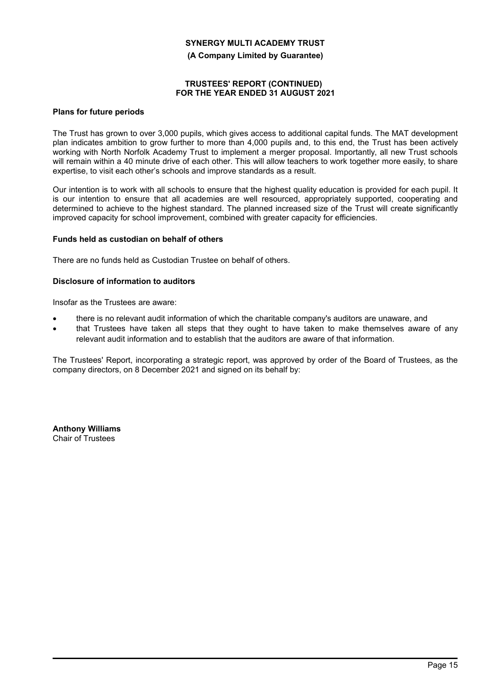**(A Company Limited by Guarantee)**

## **TRUSTEES' REPORT (CONTINUED) FOR THE YEAR ENDED 31 AUGUST 2021**

## **Plans for future periods**

The Trust has grown to over 3,000 pupils, which gives access to additional capital funds. The MAT development plan indicates ambition to grow further to more than 4,000 pupils and, to this end, the Trust has been actively working with North Norfolk Academy Trust to implement a merger proposal. Importantly, all new Trust schools will remain within a 40 minute drive of each other. This will allow teachers to work together more easily, to share expertise, to visit each other's schools and improve standards as a result.

Our intention is to work with all schools to ensure that the highest quality education is provided for each pupil. It is our intention to ensure that all academies are well resourced, appropriately supported, cooperating and determined to achieve to the highest standard. The planned increased size of the Trust will create significantly improved capacity for school improvement, combined with greater capacity for efficiencies.

## **Funds held as custodian on behalf of others**

There are no funds held as Custodian Trustee on behalf of others.

## **Disclosure of information to auditors**

Insofar as the Trustees are aware:

- there is no relevant audit information of which the charitable company's auditors are unaware, and
- that Trustees have taken all steps that they ought to have taken to make themselves aware of any relevant audit information and to establish that the auditors are aware of that information.

The Trustees' Report, incorporating a strategic report, was approved by order of the Board of Trustees, as the company directors, on 8 December 2021 and signed on its behalf by:

**Anthony Williams** Chair of Trustees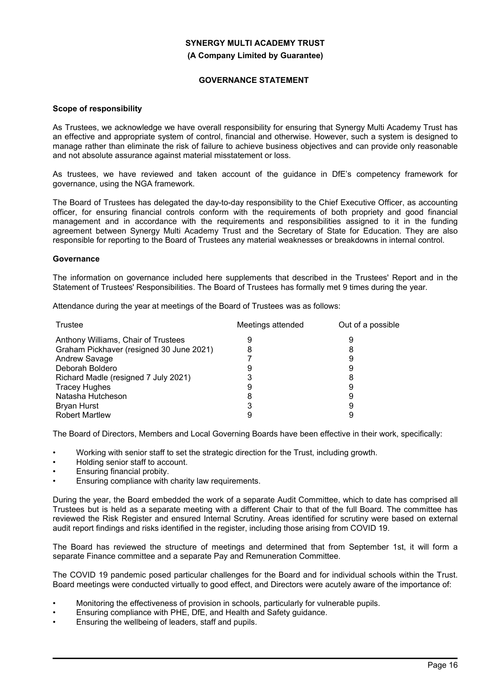#### **(A Company Limited by Guarantee)**

## **GOVERNANCE STATEMENT**

#### **Scope of responsibility**

As Trustees, we acknowledge we have overall responsibility for ensuring that Synergy Multi Academy Trust has an effective and appropriate system of control, financial and otherwise. However, such a system is designed to manage rather than eliminate the risk of failure to achieve business objectives and can provide only reasonable and not absolute assurance against material misstatement or loss.

As trustees, we have reviewed and taken account of the guidance in DfE's competency framework for governance, using the NGA framework.

The Board of Trustees has delegated the day-to-day responsibility to the Chief Executive Officer, as accounting officer, for ensuring financial controls conform with the requirements of both propriety and good financial management and in accordance with the requirements and responsibilities assigned to it in the funding agreement between Synergy Multi Academy Trust and the Secretary of State for Education. They are also responsible for reporting to the Board of Trustees any material weaknesses or breakdowns in internal control.

#### **Governance**

The information on governance included here supplements that described in the Trustees' Report and in the Statement of Trustees' Responsibilities. The Board of Trustees has formally met 9 times during the year.

Attendance during the year at meetings of the Board of Trustees was as follows:

| Trustee                                  | Meetings attended | Out of a possible |
|------------------------------------------|-------------------|-------------------|
| Anthony Williams, Chair of Trustees      |                   |                   |
| Graham Pickhaver (resigned 30 June 2021) | 8                 |                   |
| Andrew Savage                            |                   |                   |
| Deborah Boldero                          |                   |                   |
| Richard Madle (resigned 7 July 2021)     |                   | 8                 |
| <b>Tracey Hughes</b>                     |                   |                   |
| Natasha Hutcheson                        | 8                 |                   |
| <b>Bryan Hurst</b>                       |                   |                   |
| <b>Robert Martlew</b>                    |                   |                   |

The Board of Directors, Members and Local Governing Boards have been effective in their work, specifically:

- Working with senior staff to set the strategic direction for the Trust, including growth.
- Holding senior staff to account.
- Ensuring financial probity.
- Ensuring compliance with charity law requirements.

During the year, the Board embedded the work of a separate Audit Committee, which to date has comprised all Trustees but is held as a separate meeting with a different Chair to that of the full Board. The committee has reviewed the Risk Register and ensured Internal Scrutiny. Areas identified for scrutiny were based on external audit report findings and risks identified in the register, including those arising from COVID 19.

The Board has reviewed the structure of meetings and determined that from September 1st, it will form a separate Finance committee and a separate Pay and Remuneration Committee.

The COVID 19 pandemic posed particular challenges for the Board and for individual schools within the Trust. Board meetings were conducted virtually to good effect, and Directors were acutely aware of the importance of:

- Monitoring the effectiveness of provision in schools, particularly for vulnerable pupils.
- Ensuring compliance with PHE, DfE, and Health and Safety guidance.
- Ensuring the wellbeing of leaders, staff and pupils.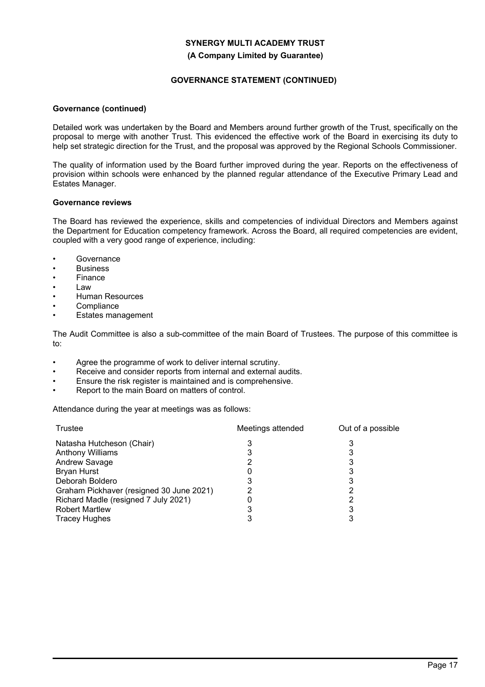#### **(A Company Limited by Guarantee)**

## **GOVERNANCE STATEMENT (CONTINUED)**

## **Governance (continued)**

Detailed work was undertaken by the Board and Members around further growth of the Trust, specifically on the proposal to merge with another Trust. This evidenced the effective work of the Board in exercising its duty to help set strategic direction for the Trust, and the proposal was approved by the Regional Schools Commissioner.

The quality of information used by the Board further improved during the year. Reports on the effectiveness of provision within schools were enhanced by the planned regular attendance of the Executive Primary Lead and Estates Manager.

### **Governance reviews**

The Board has reviewed the experience, skills and competencies of individual Directors and Members against the Department for Education competency framework. Across the Board, all required competencies are evident, coupled with a very good range of experience, including:

- **Governance**
- **Business**
- Finance
- Law
- Human Resources
- **Compliance**
- Estates management

The Audit Committee is also a sub-committee of the main Board of Trustees. The purpose of this committee is to:

- Agree the programme of work to deliver internal scrutiny.
- Receive and consider reports from internal and external audits.
- Ensure the risk register is maintained and is comprehensive.
- Report to the main Board on matters of control.

Attendance during the year at meetings was as follows:

| Trustee                                  | Meetings attended | Out of a possible |
|------------------------------------------|-------------------|-------------------|
| Natasha Hutcheson (Chair)                | 3                 |                   |
| <b>Anthony Williams</b>                  |                   |                   |
| Andrew Savage                            |                   |                   |
| <b>Bryan Hurst</b>                       |                   |                   |
| Deborah Boldero                          |                   | 3                 |
| Graham Pickhaver (resigned 30 June 2021) |                   |                   |
| Richard Madle (resigned 7 July 2021)     |                   |                   |
| <b>Robert Martlew</b>                    |                   | 3                 |
| <b>Tracey Hughes</b>                     |                   |                   |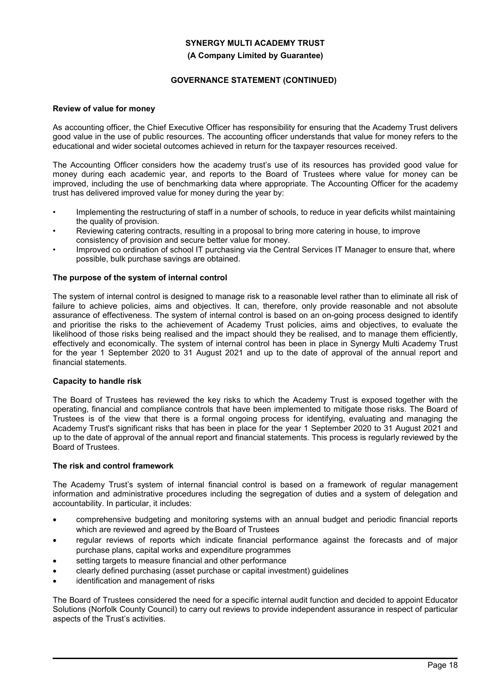#### **(A Company Limited by Guarantee)**

## **GOVERNANCE STATEMENT (CONTINUED)**

## **Review of value for money**

As accounting officer, the Chief Executive Officer has responsibility for ensuring that the Academy Trust delivers good value in the use of public resources. The accounting officer understands that value for money refers to the educational and wider societal outcomes achieved in return for the taxpayer resources received.

The Accounting Officer considers how the academy trust's use of its resources has provided good value for money during each academic year, and reports to the Board of Trustees where value for money can be improved, including the use of benchmarking data where appropriate. The Accounting Officer for the academy trust has delivered improved value for money during the year by:

- Implementing the restructuring of staff in a number of schools, to reduce in year deficits whilst maintaining the quality of provision.
- Reviewing catering contracts, resulting in a proposal to bring more catering in house, to improve consistency of provision and secure better value for money.
- Improved co ordination of school IT purchasing via the Central Services IT Manager to ensure that, where possible, bulk purchase savings are obtained.

## **The purpose of the system of internal control**

The system of internal control is designed to manage risk to a reasonable level rather than to eliminate all risk of failure to achieve policies, aims and objectives. It can, therefore, only provide reasonable and not absolute assurance of effectiveness. The system of internal control is based on an on-going process designed to identify and prioritise the risks to the achievement of Academy Trust policies, aims and objectives, to evaluate the likelihood of those risks being realised and the impact should they be realised, and to manage them efficiently, effectively and economically. The system of internal control has been in place in Synergy Multi Academy Trust for the year 1 September 2020 to 31 August 2021 and up to the date of approval of the annual report and financial statements.

#### **Capacity to handle risk**

The Board of Trustees has reviewed the key risks to which the Academy Trust is exposed together with the operating, financial and compliance controls that have been implemented to mitigate those risks. The Board of Trustees is of the view that there is a formal ongoing process for identifying, evaluating and managing the Academy Trust's significant risks that has been in place for the year 1 September 2020 to 31 August 2021 and up to the date of approval of the annual report and financial statements. This process is regularly reviewed by the Board of Trustees.

## **The risk and control framework**

The Academy Trust's system of internal financial control is based on a framework of regular management information and administrative procedures including the segregation of duties and a system of delegation and accountability. In particular, it includes:

- comprehensive budgeting and monitoring systems with an annual budget and periodic financial reports which are reviewed and agreed by the Board of Trustees
- regular reviews of reports which indicate financial performance against the forecasts and of major purchase plans, capital works and expenditure programmes
- setting targets to measure financial and other performance
- clearly defined purchasing (asset purchase or capital investment) guidelines
- identification and management of risks

The Board of Trustees considered the need for a specific internal audit function and decided to appoint Educator Solutions (Norfolk County Council) to carry out reviews to provide independent assurance in respect of particular aspects of the Trust's activities.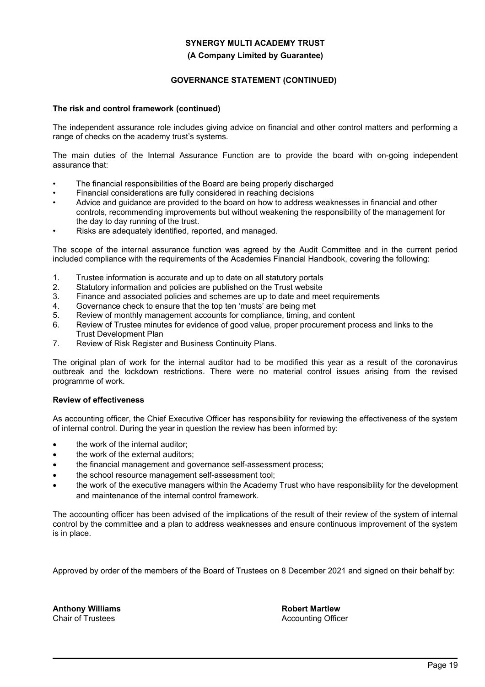#### **(A Company Limited by Guarantee)**

## **GOVERNANCE STATEMENT (CONTINUED)**

## **The risk and control framework (continued)**

The independent assurance role includes giving advice on financial and other control matters and performing a range of checks on the academy trust's systems.

The main duties of the Internal Assurance Function are to provide the board with on-going independent assurance that:

- The financial responsibilities of the Board are being properly discharged
- Financial considerations are fully considered in reaching decisions
- Advice and guidance are provided to the board on how to address weaknesses in financial and other controls, recommending improvements but without weakening the responsibility of the management for the day to day running of the trust.
- Risks are adequately identified, reported, and managed.

The scope of the internal assurance function was agreed by the Audit Committee and in the current period included compliance with the requirements of the Academies Financial Handbook, covering the following:

- 1. Trustee information is accurate and up to date on all statutory portals
- 2. Statutory information and policies are published on the Trust website
- 3. Finance and associated policies and schemes are up to date and meet requirements
- 4. Governance check to ensure that the top ten 'musts' are being met
- 5. Review of monthly management accounts for compliance, timing, and content
- 6. Review of Trustee minutes for evidence of good value, proper procurement process and links to the Trust Development Plan<br>7. Review of Risk Register
- Review of Risk Register and Business Continuity Plans.

The original plan of work for the internal auditor had to be modified this year as a result of the coronavirus outbreak and the lockdown restrictions. There were no material control issues arising from the revised programme of work.

#### **Review of effectiveness**

As accounting officer, the Chief Executive Officer has responsibility for reviewing the effectiveness of the system of internal control. During the year in question the review has been informed by:

- the work of the internal auditor:
- the work of the external auditors;
- the financial management and governance self-assessment process;
- the school resource management self-assessment tool;
- the work of the executive managers within the Academy Trust who have responsibility for the development and maintenance of the internal control framework.

The accounting officer has been advised of the implications of the result of their review of the system of internal control by the committee and a plan to address weaknesses and ensure continuous improvement of the system is in place.

Approved by order of the members of the Board of Trustees on 8 December 2021 and signed on their behalf by:

**Anthony Williams** Chair of Trustees

**Robert Martlew** Accounting Officer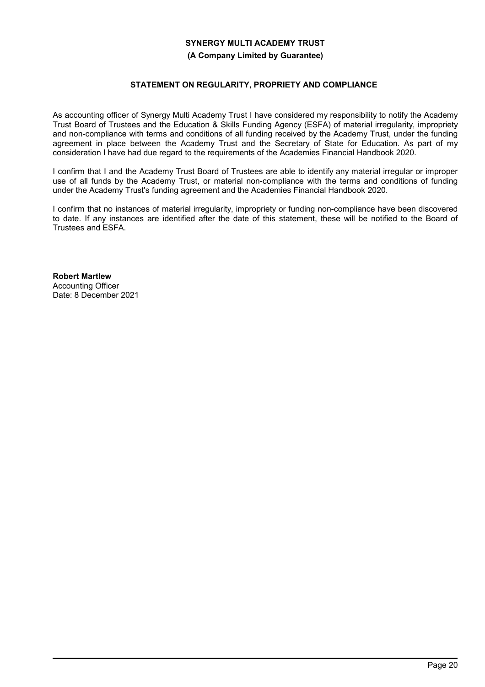## **(A Company Limited by Guarantee)**

## **STATEMENT ON REGULARITY, PROPRIETY AND COMPLIANCE**

As accounting officer of Synergy Multi Academy Trust I have considered my responsibility to notify the Academy Trust Board of Trustees and the Education & Skills Funding Agency (ESFA) of material irregularity, impropriety and non-compliance with terms and conditions of all funding received by the Academy Trust, under the funding agreement in place between the Academy Trust and the Secretary of State for Education. As part of my consideration I have had due regard to the requirements of the Academies Financial Handbook 2020.

I confirm that I and the Academy Trust Board of Trustees are able to identify any material irregular or improper use of all funds by the Academy Trust, or material non-compliance with the terms and conditions of funding under the Academy Trust's funding agreement and the Academies Financial Handbook 2020.

I confirm that no instances of material irregularity, impropriety or funding non-compliance have been discovered to date. If any instances are identified after the date of this statement, these will be notified to the Board of Trustees and ESFA.

**Robert Martlew** Accounting Officer Date: 8 December 2021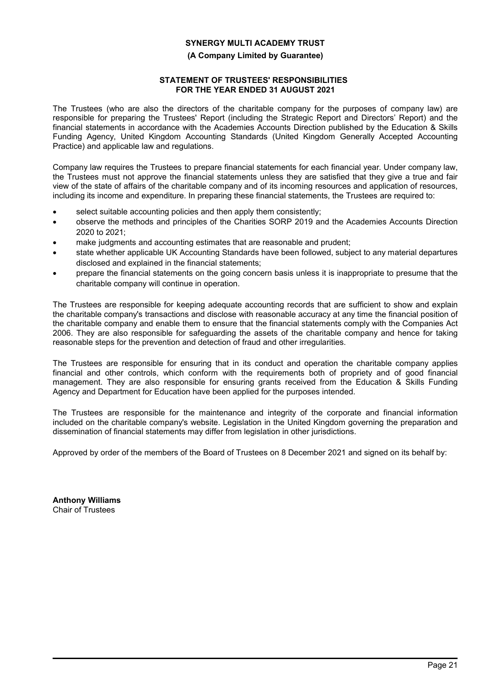## **(A Company Limited by Guarantee)**

## **STATEMENT OF TRUSTEES' RESPONSIBILITIES FOR THE YEAR ENDED 31 AUGUST 2021**

The Trustees (who are also the directors of the charitable company for the purposes of company law) are responsible for preparing the Trustees' Report (including the Strategic Report and Directors' Report) and the financial statements in accordance with the Academies Accounts Direction published by the Education & Skills Funding Agency, United Kingdom Accounting Standards (United Kingdom Generally Accepted Accounting Practice) and applicable law and regulations.

Company law requires the Trustees to prepare financial statements for each financial year. Under company law, the Trustees must not approve the financial statements unless they are satisfied that they give a true and fair view of the state of affairs of the charitable company and of its incoming resources and application of resources, including its income and expenditure. In preparing these financial statements, the Trustees are required to:

- select suitable accounting policies and then apply them consistently;
- observe the methods and principles of the Charities SORP 2019 and the Academies Accounts Direction 2020 to 2021;
- make judgments and accounting estimates that are reasonable and prudent;
- state whether applicable UK Accounting Standards have been followed, subject to any material departures disclosed and explained in the financial statements;
- prepare the financial statements on the going concern basis unless it is inappropriate to presume that the charitable company will continue in operation.

The Trustees are responsible for keeping adequate accounting records that are sufficient to show and explain the charitable company's transactions and disclose with reasonable accuracy at any time the financial position of the charitable company and enable them to ensure that the financial statements comply with the Companies Act 2006. They are also responsible for safeguarding the assets of the charitable company and hence for taking reasonable steps for the prevention and detection of fraud and other irregularities.

The Trustees are responsible for ensuring that in its conduct and operation the charitable company applies financial and other controls, which conform with the requirements both of propriety and of good financial management. They are also responsible for ensuring grants received from the Education & Skills Funding Agency and Department for Education have been applied for the purposes intended.

The Trustees are responsible for the maintenance and integrity of the corporate and financial information included on the charitable company's website. Legislation in the United Kingdom governing the preparation and dissemination of financial statements may differ from legislation in other jurisdictions.

Approved by order of the members of the Board of Trustees on 8 December 2021 and signed on its behalf by:

**Anthony Williams** Chair of Trustees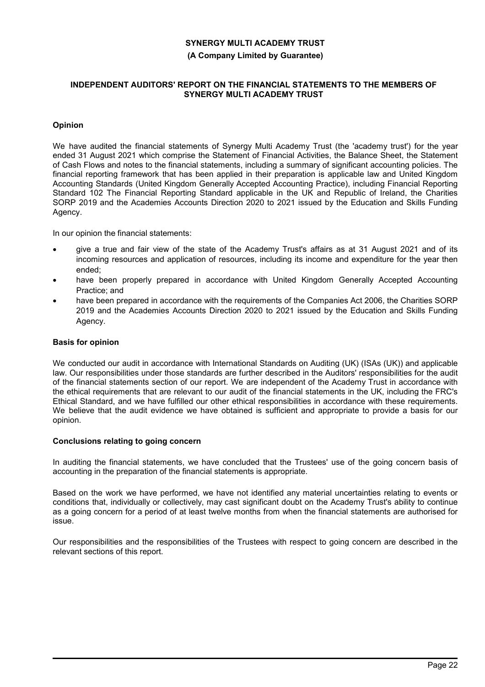#### **(A Company Limited by Guarantee)**

#### **INDEPENDENT AUDITORS' REPORT ON THE FINANCIAL STATEMENTS TO THE MEMBERS OF SYNERGY MULTI ACADEMY TRUST**

## **Opinion**

We have audited the financial statements of Synergy Multi Academy Trust (the 'academy trust') for the year ended 31 August 2021 which comprise the Statement of Financial Activities, the Balance Sheet, the Statement of Cash Flows and notes to the financial statements, including a summary of significant accounting policies. The financial reporting framework that has been applied in their preparation is applicable law and United Kingdom Accounting Standards (United Kingdom Generally Accepted Accounting Practice), including Financial Reporting Standard 102 The Financial Reporting Standard applicable in the UK and Republic of Ireland, the Charities SORP 2019 and the Academies Accounts Direction 2020 to 2021 issued by the Education and Skills Funding Agency.

In our opinion the financial statements:

- give a true and fair view of the state of the Academy Trust's affairs as at 31 August 2021 and of its incoming resources and application of resources, including its income and expenditure for the year then ended;
- have been properly prepared in accordance with United Kingdom Generally Accepted Accounting Practice; and
- have been prepared in accordance with the requirements of the Companies Act 2006, the Charities SORP 2019 and the Academies Accounts Direction 2020 to 2021 issued by the Education and Skills Funding Agency.

## **Basis for opinion**

We conducted our audit in accordance with International Standards on Auditing (UK) (ISAs (UK)) and applicable law. Our responsibilities under those standards are further described in the Auditors' responsibilities for the audit of the financial statements section of our report. We are independent of the Academy Trust in accordance with the ethical requirements that are relevant to our audit of the financial statements in the UK, including the FRC's Ethical Standard, and we have fulfilled our other ethical responsibilities in accordance with these requirements. We believe that the audit evidence we have obtained is sufficient and appropriate to provide a basis for our opinion.

## **Conclusions relating to going concern**

In auditing the financial statements, we have concluded that the Trustees' use of the going concern basis of accounting in the preparation of the financial statements is appropriate.

Based on the work we have performed, we have not identified any material uncertainties relating to events or conditions that, individually or collectively, may cast significant doubt on the Academy Trust's ability to continue as a going concern for a period of at least twelve months from when the financial statements are authorised for issue.

Our responsibilities and the responsibilities of the Trustees with respect to going concern are described in the relevant sections of this report.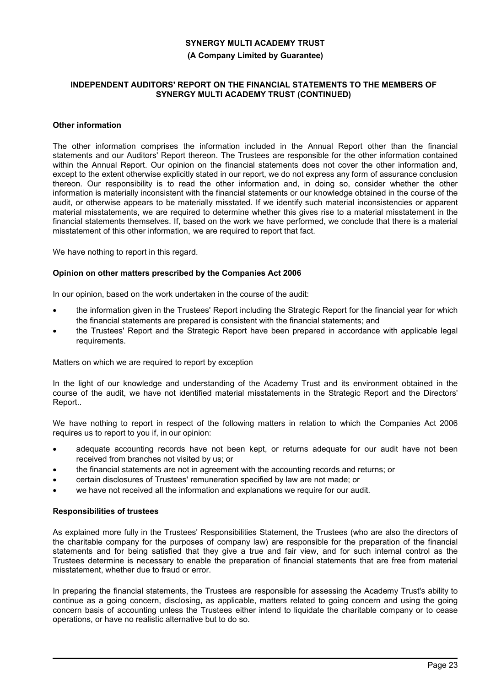## **(A Company Limited by Guarantee)**

#### **INDEPENDENT AUDITORS' REPORT ON THE FINANCIAL STATEMENTS TO THE MEMBERS OF SYNERGY MULTI ACADEMY TRUST (CONTINUED)**

#### **Other information**

The other information comprises the information included in the Annual Report other than the financial statements and our Auditors' Report thereon. The Trustees are responsible for the other information contained within the Annual Report. Our opinion on the financial statements does not cover the other information and, except to the extent otherwise explicitly stated in our report, we do not express any form of assurance conclusion thereon. Our responsibility is to read the other information and, in doing so, consider whether the other information is materially inconsistent with the financial statements or our knowledge obtained in the course of the audit, or otherwise appears to be materially misstated. If we identify such material inconsistencies or apparent material misstatements, we are required to determine whether this gives rise to a material misstatement in the financial statements themselves. If, based on the work we have performed, we conclude that there is a material misstatement of this other information, we are required to report that fact.

We have nothing to report in this regard.

## **Opinion on other matters prescribed by the Companies Act 2006**

In our opinion, based on the work undertaken in the course of the audit:

- the information given in the Trustees' Report including the Strategic Report for the financial year for which the financial statements are prepared is consistent with the financial statements; and
- the Trustees' Report and the Strategic Report have been prepared in accordance with applicable legal requirements.

Matters on which we are required to report by exception

In the light of our knowledge and understanding of the Academy Trust and its environment obtained in the course of the audit, we have not identified material misstatements in the Strategic Report and the Directors' Report..

We have nothing to report in respect of the following matters in relation to which the Companies Act 2006 requires us to report to you if, in our opinion:

- adequate accounting records have not been kept, or returns adequate for our audit have not been received from branches not visited by us; or
- the financial statements are not in agreement with the accounting records and returns; or
- certain disclosures of Trustees' remuneration specified by law are not made; or
- we have not received all the information and explanations we require for our audit.

#### **Responsibilities of trustees**

As explained more fully in the Trustees' Responsibilities Statement, the Trustees (who are also the directors of the charitable company for the purposes of company law) are responsible for the preparation of the financial statements and for being satisfied that they give a true and fair view, and for such internal control as the Trustees determine is necessary to enable the preparation of financial statements that are free from material misstatement, whether due to fraud or error.

In preparing the financial statements, the Trustees are responsible for assessing the Academy Trust's ability to continue as a going concern, disclosing, as applicable, matters related to going concern and using the going concern basis of accounting unless the Trustees either intend to liquidate the charitable company or to cease operations, or have no realistic alternative but to do so.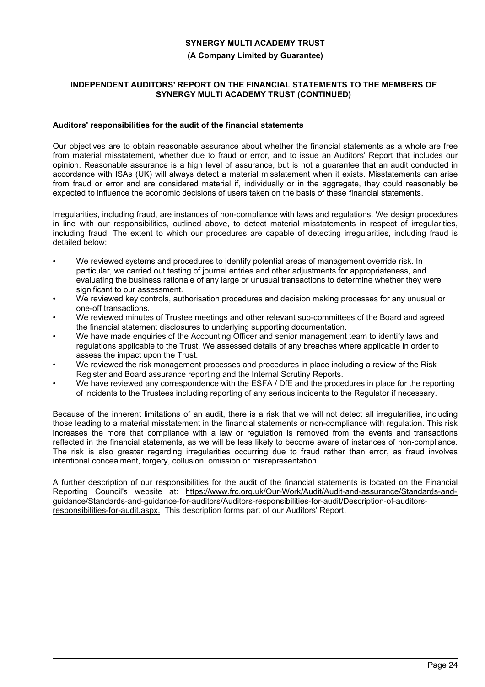## **(A Company Limited by Guarantee)**

## **INDEPENDENT AUDITORS' REPORT ON THE FINANCIAL STATEMENTS TO THE MEMBERS OF SYNERGY MULTI ACADEMY TRUST (CONTINUED)**

## **Auditors' responsibilities for the audit of the financial statements**

Our objectives are to obtain reasonable assurance about whether the financial statements as a whole are free from material misstatement, whether due to fraud or error, and to issue an Auditors' Report that includes our opinion. Reasonable assurance is a high level of assurance, but is not a guarantee that an audit conducted in accordance with ISAs (UK) will always detect a material misstatement when it exists. Misstatements can arise from fraud or error and are considered material if, individually or in the aggregate, they could reasonably be expected to influence the economic decisions of users taken on the basis of these financial statements.

Irregularities, including fraud, are instances of non-compliance with laws and regulations. We design procedures in line with our responsibilities, outlined above, to detect material misstatements in respect of irregularities, including fraud. The extent to which our procedures are capable of detecting irregularities, including fraud is detailed below:

- We reviewed systems and procedures to identify potential areas of management override risk. In particular, we carried out testing of journal entries and other adjustments for appropriateness, and evaluating the business rationale of any large or unusual transactions to determine whether they were significant to our assessment.
- We reviewed key controls, authorisation procedures and decision making processes for any unusual or one-off transactions.
- We reviewed minutes of Trustee meetings and other relevant sub-committees of the Board and agreed the financial statement disclosures to underlying supporting documentation.
- We have made enquiries of the Accounting Officer and senior management team to identify laws and regulations applicable to the Trust. We assessed details of any breaches where applicable in order to assess the impact upon the Trust.
- We reviewed the risk management processes and procedures in place including a review of the Risk Register and Board assurance reporting and the Internal Scrutiny Reports.
- We have reviewed any correspondence with the ESFA / DfE and the procedures in place for the reporting of incidents to the Trustees including reporting of any serious incidents to the Regulator if necessary.

Because of the inherent limitations of an audit, there is a risk that we will not detect all irregularities, including those leading to a material misstatement in the financial statements or non-compliance with regulation. This risk increases the more that compliance with a law or regulation is removed from the events and transactions reflected in the financial statements, as we will be less likely to become aware of instances of non-compliance. The risk is also greater regarding irregularities occurring due to fraud rather than error, as fraud involves intentional concealment, forgery, collusion, omission or misrepresentation.

A further description of our responsibilities for the audit of the financial statements is located on the Financial Reporting Council's website at: https://www.frc.org.uk/Our-Work/Audit/Audit-and-assurance/Standards-andguidance/Standards-and-guidance-for-auditors/Auditors-responsibilities-for-audit/Description-of-auditorsresponsibilities-for-audit.aspx. This description forms part of our Auditors' Report.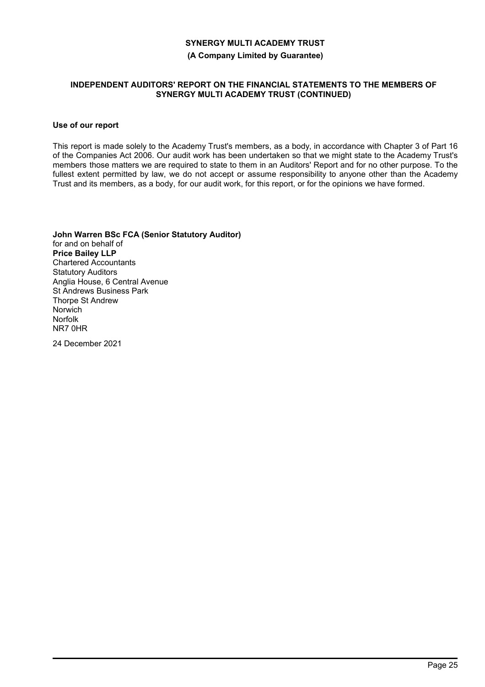**(A Company Limited by Guarantee)**

## **INDEPENDENT AUDITORS' REPORT ON THE FINANCIAL STATEMENTS TO THE MEMBERS OF SYNERGY MULTI ACADEMY TRUST (CONTINUED)**

## **Use of our report**

This report is made solely to the Academy Trust's members, as a body, in accordance with Chapter 3 of Part 16 of the Companies Act 2006. Our audit work has been undertaken so that we might state to the Academy Trust's members those matters we are required to state to them in an Auditors' Report and for no other purpose. To the fullest extent permitted by law, we do not accept or assume responsibility to anyone other than the Academy Trust and its members, as a body, for our audit work, for this report, or for the opinions we have formed.

**John Warren BSc FCA (Senior Statutory Auditor)** for and on behalf of **Price Bailey LLP** Chartered Accountants Statutory Auditors Anglia House, 6 Central Avenue St Andrews Business Park Thorpe St Andrew Norwich Norfolk NR7 0HR

24 December 2021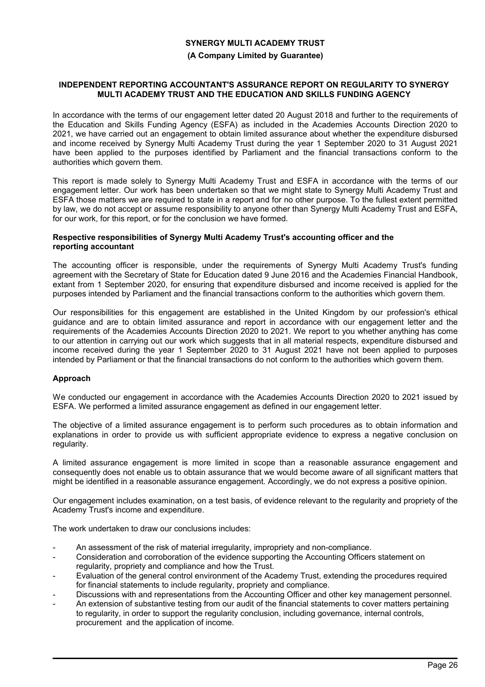## **(A Company Limited by Guarantee)**

#### **INDEPENDENT REPORTING ACCOUNTANT'S ASSURANCE REPORT ON REGULARITY TO SYNERGY MULTI ACADEMY TRUST AND THE EDUCATION AND SKILLS FUNDING AGENCY**

In accordance with the terms of our engagement letter dated 20 August 2018 and further to the requirements of the Education and Skills Funding Agency (ESFA) as included in the Academies Accounts Direction 2020 to 2021, we have carried out an engagement to obtain limited assurance about whether the expenditure disbursed and income received by Synergy Multi Academy Trust during the year 1 September 2020 to 31 August 2021 have been applied to the purposes identified by Parliament and the financial transactions conform to the authorities which govern them.

This report is made solely to Synergy Multi Academy Trust and ESFA in accordance with the terms of our engagement letter. Our work has been undertaken so that we might state to Synergy Multi Academy Trust and ESFA those matters we are required to state in a report and for no other purpose. To the fullest extent permitted by law, we do not accept or assume responsibility to anyone other than Synergy Multi Academy Trust and ESFA, for our work, for this report, or for the conclusion we have formed.

#### **Respective responsibilities of Synergy Multi Academy Trust's accounting officer and the reporting accountant**

The accounting officer is responsible, under the requirements of Synergy Multi Academy Trust's funding agreement with the Secretary of State for Education dated 9 June 2016 and the Academies Financial Handbook, extant from 1 September 2020, for ensuring that expenditure disbursed and income received is applied for the purposes intended by Parliament and the financial transactions conform to the authorities which govern them.

Our responsibilities for this engagement are established in the United Kingdom by our profession's ethical guidance and are to obtain limited assurance and report in accordance with our engagement letter and the requirements of the Academies Accounts Direction 2020 to 2021. We report to you whether anything has come to our attention in carrying out our work which suggests that in all material respects, expenditure disbursed and income received during the year 1 September 2020 to 31 August 2021 have not been applied to purposes intended by Parliament or that the financial transactions do not conform to the authorities which govern them.

## **Approach**

We conducted our engagement in accordance with the Academies Accounts Direction 2020 to 2021 issued by ESFA. We performed a limited assurance engagement as defined in our engagement letter.

The objective of a limited assurance engagement is to perform such procedures as to obtain information and explanations in order to provide us with sufficient appropriate evidence to express a negative conclusion on regularity.

A limited assurance engagement is more limited in scope than a reasonable assurance engagement and consequently does not enable us to obtain assurance that we would become aware of all significant matters that might be identified in a reasonable assurance engagement. Accordingly, we do not express a positive opinion.

Our engagement includes examination, on a test basis, of evidence relevant to the regularity and propriety of the Academy Trust's income and expenditure.

The work undertaken to draw our conclusions includes:

- An assessment of the risk of material irregularity, impropriety and non-compliance.
- Consideration and corroboration of the evidence supporting the Accounting Officers statement on regularity, propriety and compliance and how the Trust.
- Evaluation of the general control environment of the Academy Trust, extending the procedures required for financial statements to include regularity, propriety and compliance.
- Discussions with and representations from the Accounting Officer and other key management personnel.
- An extension of substantive testing from our audit of the financial statements to cover matters pertaining to regularity, in order to support the regularity conclusion, including governance, internal controls, procurement and the application of income.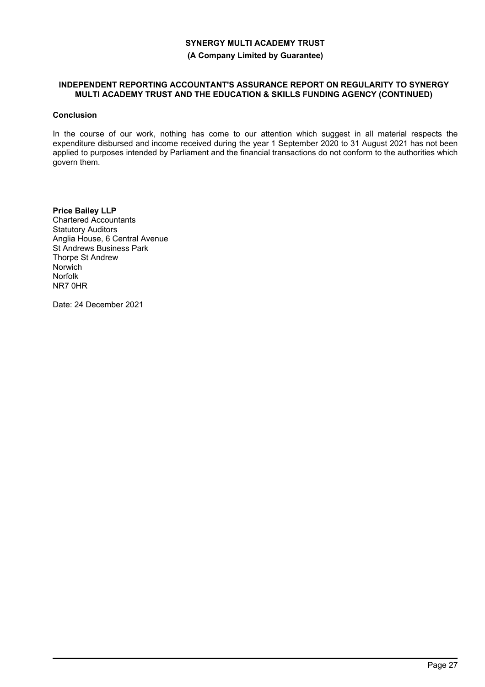## **(A Company Limited by Guarantee)**

#### **INDEPENDENT REPORTING ACCOUNTANT'S ASSURANCE REPORT ON REGULARITY TO SYNERGY MULTI ACADEMY TRUST AND THE EDUCATION & SKILLS FUNDING AGENCY (CONTINUED)**

## **Conclusion**

In the course of our work, nothing has come to our attention which suggest in all material respects the expenditure disbursed and income received during the year 1 September 2020 to 31 August 2021 has not been applied to purposes intended by Parliament and the financial transactions do not conform to the authorities which govern them.

**Price Bailey LLP** Chartered Accountants Statutory Auditors Anglia House, 6 Central Avenue St Andrews Business Park Thorpe St Andrew Norwich Norfolk NR7 0HR

Date: 24 December 2021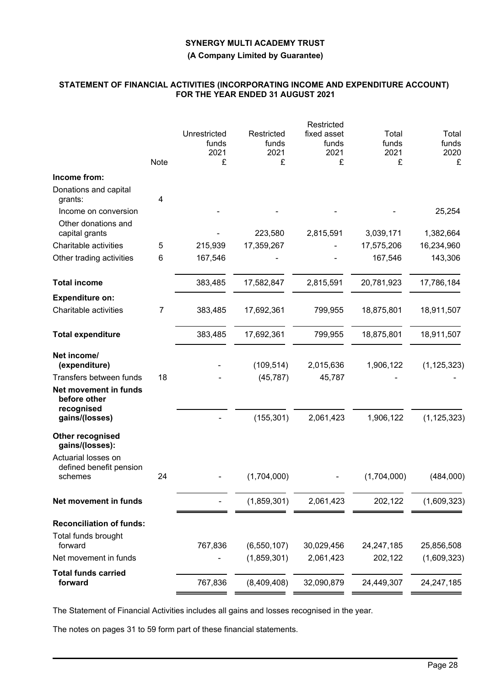**(A Company Limited by Guarantee)**

## **STATEMENT OF FINANCIAL ACTIVITIES (INCORPORATING INCOME AND EXPENDITURE ACCOUNT) FOR THE YEAR ENDED 31 AUGUST 2021**

|                                                           |      |                                    |                                  | Restricted                        |                             |                             |
|-----------------------------------------------------------|------|------------------------------------|----------------------------------|-----------------------------------|-----------------------------|-----------------------------|
|                                                           | Note | Unrestricted<br>funds<br>2021<br>£ | Restricted<br>funds<br>2021<br>£ | fixed asset<br>funds<br>2021<br>£ | Total<br>funds<br>2021<br>£ | Total<br>funds<br>2020<br>£ |
| Income from:                                              |      |                                    |                                  |                                   |                             |                             |
| Donations and capital<br>grants:<br>Income on conversion  | 4    |                                    |                                  |                                   |                             | 25,254                      |
| Other donations and<br>capital grants                     |      |                                    | 223,580                          | 2,815,591                         | 3,039,171                   | 1,382,664                   |
| Charitable activities                                     | 5    | 215,939                            | 17,359,267                       |                                   | 17,575,206                  | 16,234,960                  |
| Other trading activities                                  | 6    | 167,546                            |                                  |                                   | 167,546                     | 143,306                     |
| <b>Total income</b>                                       |      | 383,485                            | 17,582,847                       | 2,815,591                         | 20,781,923                  | 17,786,184                  |
| <b>Expenditure on:</b>                                    |      |                                    |                                  |                                   |                             |                             |
| Charitable activities                                     | 7    | 383,485                            | 17,692,361                       | 799,955                           | 18,875,801                  | 18,911,507                  |
| <b>Total expenditure</b>                                  |      | 383,485                            | 17,692,361                       | 799,955                           | 18,875,801                  | 18,911,507                  |
| Net income/<br>(expenditure)                              |      |                                    | (109, 514)                       | 2,015,636                         | 1,906,122                   | (1, 125, 323)               |
| Transfers between funds                                   | 18   |                                    | (45, 787)                        | 45,787                            |                             |                             |
| Net movement in funds<br>before other<br>recognised       |      |                                    |                                  |                                   |                             |                             |
| gains/(losses)                                            |      |                                    | (155, 301)                       | 2,061,423                         | 1,906,122                   | (1, 125, 323)               |
| Other recognised<br>gains/(losses):                       |      |                                    |                                  |                                   |                             |                             |
| Actuarial losses on<br>defined benefit pension<br>schemes | 24   |                                    | (1,704,000)                      |                                   | (1,704,000)                 | (484,000)                   |
| Net movement in funds                                     |      |                                    | (1,859,301)                      | 2,061,423                         | 202,122                     | (1,609,323)                 |
| <b>Reconciliation of funds:</b><br>Total funds brought    |      |                                    |                                  |                                   |                             |                             |
| forward                                                   |      | 767,836                            | (6, 550, 107)                    | 30,029,456                        | 24,247,185                  | 25,856,508                  |
| Net movement in funds                                     |      |                                    | (1,859,301)                      | 2,061,423                         | 202,122                     | (1,609,323)                 |
| <b>Total funds carried</b><br>forward                     |      | 767,836                            | (8,409,408)                      | 32,090,879                        | 24,449,307                  | 24,247,185                  |
|                                                           |      |                                    |                                  |                                   |                             |                             |

The Statement of Financial Activities includes all gains and losses recognised in the year.

The notes on pages 31 to 59 form part of these financial statements.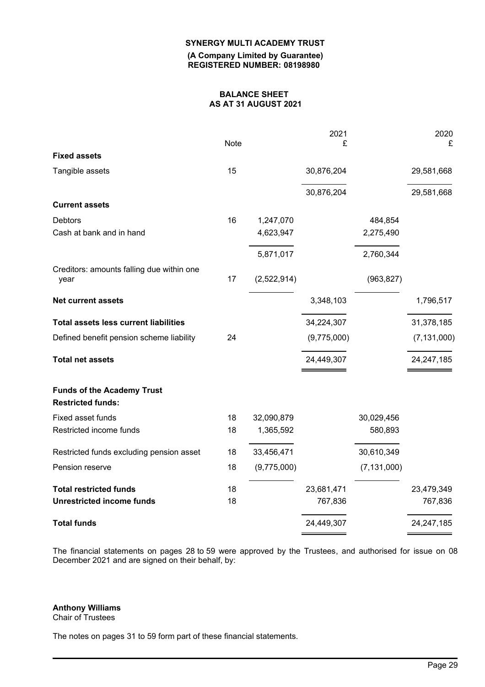**(A Company Limited by Guarantee) REGISTERED NUMBER: 08198980**

## **BALANCE SHEET AS AT 31 AUGUST 2021**

|                                                               | Note |             | 2021<br>£   |               | 2020<br>£     |
|---------------------------------------------------------------|------|-------------|-------------|---------------|---------------|
| <b>Fixed assets</b>                                           |      |             |             |               |               |
| Tangible assets                                               | 15   |             | 30,876,204  |               | 29,581,668    |
|                                                               |      |             | 30,876,204  |               | 29,581,668    |
| <b>Current assets</b>                                         |      |             |             |               |               |
| <b>Debtors</b>                                                | 16   | 1,247,070   |             | 484,854       |               |
| Cash at bank and in hand                                      |      | 4,623,947   |             | 2,275,490     |               |
|                                                               |      | 5,871,017   |             | 2,760,344     |               |
| Creditors: amounts falling due within one<br>year             | 17   | (2,522,914) |             | (963, 827)    |               |
| <b>Net current assets</b>                                     |      |             | 3,348,103   |               | 1,796,517     |
| <b>Total assets less current liabilities</b>                  |      |             | 34,224,307  |               | 31,378,185    |
| Defined benefit pension scheme liability                      | 24   |             | (9,775,000) |               | (7, 131, 000) |
| <b>Total net assets</b>                                       |      |             | 24,449,307  |               | 24,247,185    |
| <b>Funds of the Academy Trust</b><br><b>Restricted funds:</b> |      |             |             |               |               |
| Fixed asset funds                                             | 18   | 32,090,879  |             | 30,029,456    |               |
| Restricted income funds                                       | 18   | 1,365,592   |             | 580,893       |               |
| Restricted funds excluding pension asset                      | 18   | 33,456,471  |             | 30,610,349    |               |
| Pension reserve                                               | 18   | (9,775,000) |             | (7, 131, 000) |               |
| <b>Total restricted funds</b>                                 | 18   |             | 23,681,471  |               | 23,479,349    |
| <b>Unrestricted income funds</b>                              | 18   |             | 767,836     |               | 767,836       |
| <b>Total funds</b>                                            |      |             | 24,449,307  |               | 24,247,185    |

The financial statements on pages 28 to 59 were approved by the Trustees, and authorised for issue on 08 December 2021 and are signed on their behalf, by:

## **Anthony Williams**

Chair of Trustees

The notes on pages 31 to 59 form part of these financial statements.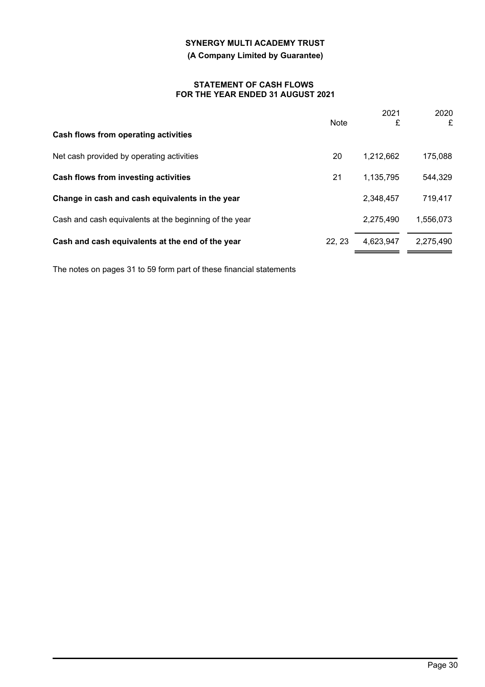## **(A Company Limited by Guarantee)**

#### **STATEMENT OF CASH FLOWS FOR THE YEAR ENDED 31 AUGUST 2021**

|                                                        | <b>Note</b> | 2021<br>£ | 2020<br>£ |
|--------------------------------------------------------|-------------|-----------|-----------|
| Cash flows from operating activities                   |             |           |           |
| Net cash provided by operating activities              | 20          | 1,212,662 | 175,088   |
| Cash flows from investing activities                   | 21          | 1,135,795 | 544,329   |
| Change in cash and cash equivalents in the year        |             | 2,348,457 | 719,417   |
| Cash and cash equivalents at the beginning of the year |             | 2,275,490 | 1,556,073 |
| Cash and cash equivalents at the end of the year       | 22, 23      | 4,623,947 | 2,275,490 |
|                                                        |             |           |           |

The notes on pages 31 to 59 form part of these financial statements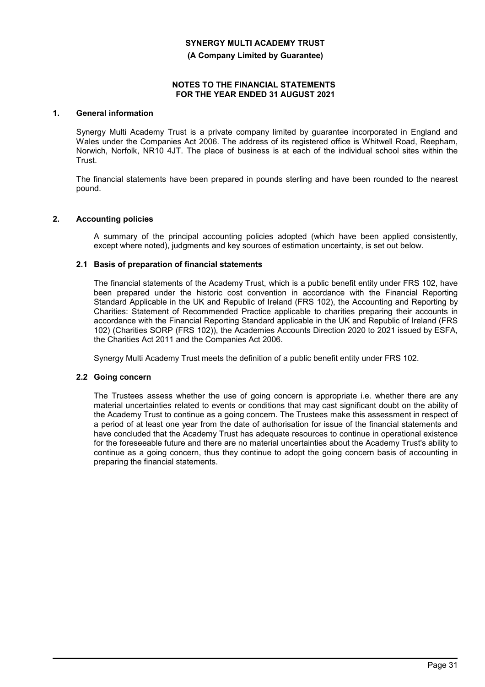**(A Company Limited by Guarantee)**

#### **NOTES TO THE FINANCIAL STATEMENTS FOR THE YEAR ENDED 31 AUGUST 2021**

## **1. General information**

Synergy Multi Academy Trust is a private company limited by guarantee incorporated in England and Wales under the Companies Act 2006. The address of its registered office is Whitwell Road, Reepham, Norwich, Norfolk, NR10 4JT. The place of business is at each of the individual school sites within the Trust.

The financial statements have been prepared in pounds sterling and have been rounded to the nearest pound.

## **2. Accounting policies**

A summary of the principal accounting policies adopted (which have been applied consistently, except where noted), judgments and key sources of estimation uncertainty, is set out below.

## **2.1 Basis of preparation of financial statements**

The financial statements of the Academy Trust, which is a public benefit entity under FRS 102, have been prepared under the historic cost convention in accordance with the Financial Reporting Standard Applicable in the UK and Republic of Ireland (FRS 102), the Accounting and Reporting by Charities: Statement of Recommended Practice applicable to charities preparing their accounts in accordance with the Financial Reporting Standard applicable in the UK and Republic of Ireland (FRS 102) (Charities SORP (FRS 102)), the Academies Accounts Direction 2020 to 2021 issued by ESFA, the Charities Act 2011 and the Companies Act 2006.

Synergy Multi Academy Trust meets the definition of a public benefit entity under FRS 102.

#### **2.2 Going concern**

The Trustees assess whether the use of going concern is appropriate i.e. whether there are any material uncertainties related to events or conditions that may cast significant doubt on the ability of the Academy Trust to continue as a going concern. The Trustees make this assessment in respect of a period of at least one year from the date of authorisation for issue of the financial statements and have concluded that the Academy Trust has adequate resources to continue in operational existence for the foreseeable future and there are no material uncertainties about the Academy Trust's ability to continue as a going concern, thus they continue to adopt the going concern basis of accounting in preparing the financial statements.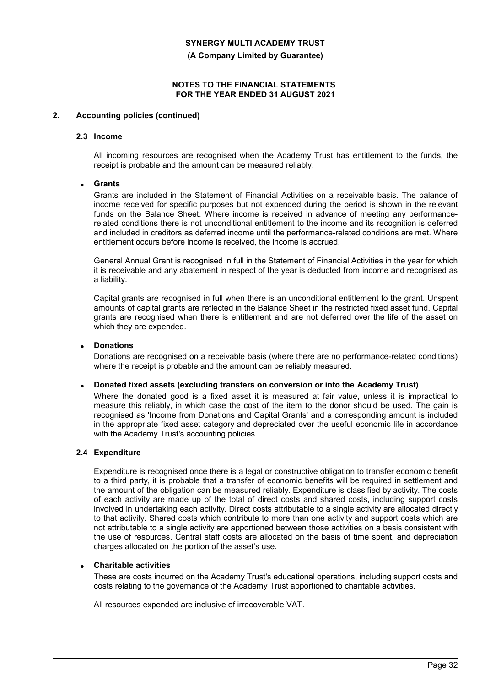**(A Company Limited by Guarantee)**

## **NOTES TO THE FINANCIAL STATEMENTS FOR THE YEAR ENDED 31 AUGUST 2021**

## **2. Accounting policies (continued)**

#### **2.3 Income**

All incoming resources are recognised when the Academy Trust has entitlement to the funds, the receipt is probable and the amount can be measured reliably.

## • **Grants**

Grants are included in the Statement of Financial Activities on a receivable basis. The balance of income received for specific purposes but not expended during the period is shown in the relevant funds on the Balance Sheet. Where income is received in advance of meeting any performancerelated conditions there is not unconditional entitlement to the income and its recognition is deferred and included in creditors as deferred income until the performance-related conditions are met. Where entitlement occurs before income is received, the income is accrued.

General Annual Grant is recognised in full in the Statement of Financial Activities in the year for which it is receivable and any abatement in respect of the year is deducted from income and recognised as a liability.

Capital grants are recognised in full when there is an unconditional entitlement to the grant. Unspent amounts of capital grants are reflected in the Balance Sheet in the restricted fixed asset fund. Capital grants are recognised when there is entitlement and are not deferred over the life of the asset on which they are expended.

#### • **Donations**

Donations are recognised on a receivable basis (where there are no performance-related conditions) where the receipt is probable and the amount can be reliably measured.

#### • **Donated fixed assets (excluding transfers on conversion or into the Academy Trust)**

Where the donated good is a fixed asset it is measured at fair value, unless it is impractical to measure this reliably, in which case the cost of the item to the donor should be used. The gain is recognised as 'Income from Donations and Capital Grants' and a corresponding amount is included in the appropriate fixed asset category and depreciated over the useful economic life in accordance with the Academy Trust's accounting policies.

#### **2.4 Expenditure**

Expenditure is recognised once there is a legal or constructive obligation to transfer economic benefit to a third party, it is probable that a transfer of economic benefits will be required in settlement and the amount of the obligation can be measured reliably. Expenditure is classified by activity. The costs of each activity are made up of the total of direct costs and shared costs, including support costs involved in undertaking each activity. Direct costs attributable to a single activity are allocated directly to that activity. Shared costs which contribute to more than one activity and support costs which are not attributable to a single activity are apportioned between those activities on a basis consistent with the use of resources. Central staff costs are allocated on the basis of time spent, and depreciation charges allocated on the portion of the asset's use.

#### • **Charitable activities**

These are costs incurred on the Academy Trust's educational operations, including support costs and costs relating to the governance of the Academy Trust apportioned to charitable activities.

All resources expended are inclusive of irrecoverable VAT.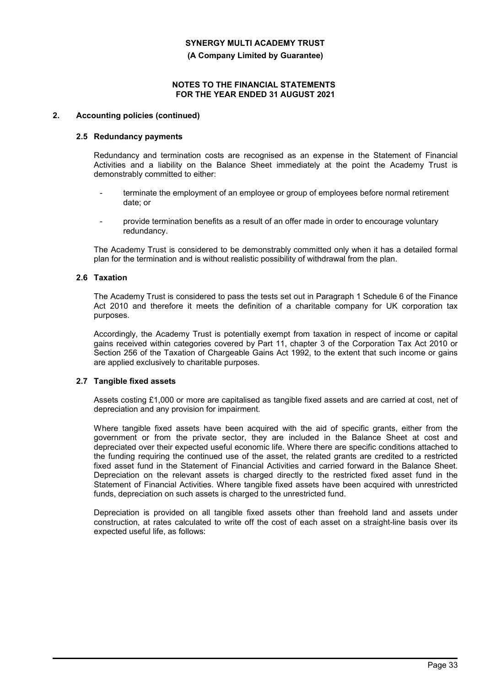**(A Company Limited by Guarantee)**

#### **NOTES TO THE FINANCIAL STATEMENTS FOR THE YEAR ENDED 31 AUGUST 2021**

## **2. Accounting policies (continued)**

#### **2.5 Redundancy payments**

Redundancy and termination costs are recognised as an expense in the Statement of Financial Activities and a liability on the Balance Sheet immediately at the point the Academy Trust is demonstrably committed to either:

- terminate the employment of an employee or group of employees before normal retirement date; or
- provide termination benefits as a result of an offer made in order to encourage voluntary redundancy.

The Academy Trust is considered to be demonstrably committed only when it has a detailed formal plan for the termination and is without realistic possibility of withdrawal from the plan.

## **2.6 Taxation**

The Academy Trust is considered to pass the tests set out in Paragraph 1 Schedule 6 of the Finance Act 2010 and therefore it meets the definition of a charitable company for UK corporation tax purposes.

Accordingly, the Academy Trust is potentially exempt from taxation in respect of income or capital gains received within categories covered by Part 11, chapter 3 of the Corporation Tax Act 2010 or Section 256 of the Taxation of Chargeable Gains Act 1992, to the extent that such income or gains are applied exclusively to charitable purposes.

#### **2.7 Tangible fixed assets**

Assets costing £1,000 or more are capitalised as tangible fixed assets and are carried at cost, net of depreciation and any provision for impairment.

Where tangible fixed assets have been acquired with the aid of specific grants, either from the government or from the private sector, they are included in the Balance Sheet at cost and depreciated over their expected useful economic life. Where there are specific conditions attached to the funding requiring the continued use of the asset, the related grants are credited to a restricted fixed asset fund in the Statement of Financial Activities and carried forward in the Balance Sheet. Depreciation on the relevant assets is charged directly to the restricted fixed asset fund in the Statement of Financial Activities. Where tangible fixed assets have been acquired with unrestricted funds, depreciation on such assets is charged to the unrestricted fund.

Depreciation is provided on all tangible fixed assets other than freehold land and assets under construction, at rates calculated to write off the cost of each asset on a straight-line basis over its expected useful life, as follows: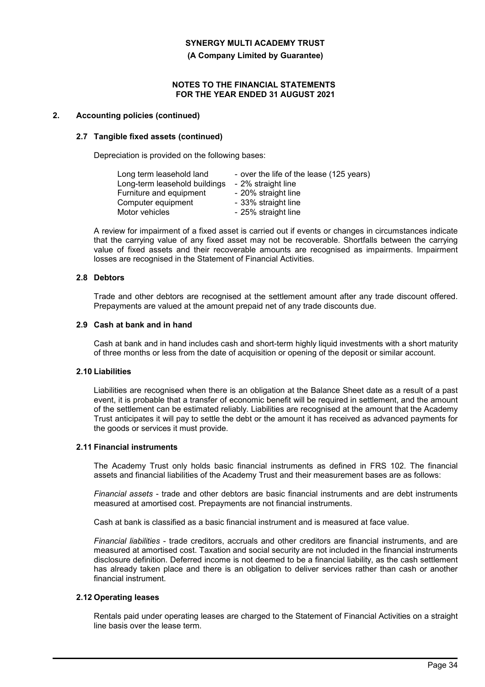**(A Company Limited by Guarantee)**

#### **NOTES TO THE FINANCIAL STATEMENTS FOR THE YEAR ENDED 31 AUGUST 2021**

## **2. Accounting policies (continued)**

## **2.7 Tangible fixed assets (continued)**

Depreciation is provided on the following bases:

| Long term leasehold land      | - over the life of the lease (125 years) |
|-------------------------------|------------------------------------------|
| Long-term leasehold buildings | - 2% straight line                       |
| Furniture and equipment       | - 20% straight line                      |
| Computer equipment            | - 33% straight line                      |
| Motor vehicles                | - 25% straight line                      |

A review for impairment of a fixed asset is carried out if events or changes in circumstances indicate that the carrying value of any fixed asset may not be recoverable. Shortfalls between the carrying value of fixed assets and their recoverable amounts are recognised as impairments. Impairment losses are recognised in the Statement of Financial Activities.

## **2.8 Debtors**

Trade and other debtors are recognised at the settlement amount after any trade discount offered. Prepayments are valued at the amount prepaid net of any trade discounts due.

## **2.9 Cash at bank and in hand**

Cash at bank and in hand includes cash and short-term highly liquid investments with a short maturity of three months or less from the date of acquisition or opening of the deposit or similar account.

## **2.10 Liabilities**

Liabilities are recognised when there is an obligation at the Balance Sheet date as a result of a past event, it is probable that a transfer of economic benefit will be required in settlement, and the amount of the settlement can be estimated reliably. Liabilities are recognised at the amount that the Academy Trust anticipates it will pay to settle the debt or the amount it has received as advanced payments for the goods or services it must provide.

#### **2.11 Financial instruments**

The Academy Trust only holds basic financial instruments as defined in FRS 102. The financial assets and financial liabilities of the Academy Trust and their measurement bases are as follows:

*Financial assets* - trade and other debtors are basic financial instruments and are debt instruments measured at amortised cost. Prepayments are not financial instruments.

Cash at bank is classified as a basic financial instrument and is measured at face value.

*Financial liabilities* - trade creditors, accruals and other creditors are financial instruments, and are measured at amortised cost. Taxation and social security are not included in the financial instruments disclosure definition. Deferred income is not deemed to be a financial liability, as the cash settlement has already taken place and there is an obligation to deliver services rather than cash or another financial instrument.

#### **2.12 Operating leases**

Rentals paid under operating leases are charged to the Statement of Financial Activities on a straight line basis over the lease term.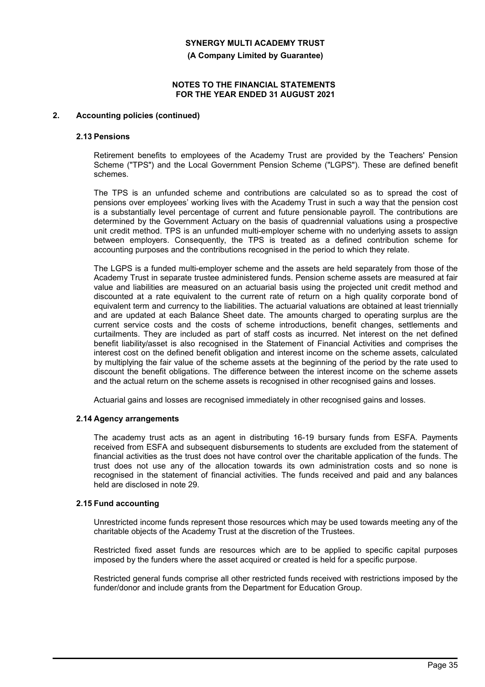**(A Company Limited by Guarantee)**

### **NOTES TO THE FINANCIAL STATEMENTS FOR THE YEAR ENDED 31 AUGUST 2021**

## **2. Accounting policies (continued)**

#### **2.13 Pensions**

Retirement benefits to employees of the Academy Trust are provided by the Teachers' Pension Scheme ("TPS") and the Local Government Pension Scheme ("LGPS"). These are defined benefit schemes.

The TPS is an unfunded scheme and contributions are calculated so as to spread the cost of pensions over employees' working lives with the Academy Trust in such a way that the pension cost is a substantially level percentage of current and future pensionable payroll. The contributions are determined by the Government Actuary on the basis of quadrennial valuations using a prospective unit credit method. TPS is an unfunded multi-employer scheme with no underlying assets to assign between employers. Consequently, the TPS is treated as a defined contribution scheme for accounting purposes and the contributions recognised in the period to which they relate.

The LGPS is a funded multi-employer scheme and the assets are held separately from those of the Academy Trust in separate trustee administered funds. Pension scheme assets are measured at fair value and liabilities are measured on an actuarial basis using the projected unit credit method and discounted at a rate equivalent to the current rate of return on a high quality corporate bond of equivalent term and currency to the liabilities. The actuarial valuations are obtained at least triennially and are updated at each Balance Sheet date. The amounts charged to operating surplus are the current service costs and the costs of scheme introductions, benefit changes, settlements and curtailments. They are included as part of staff costs as incurred. Net interest on the net defined benefit liability/asset is also recognised in the Statement of Financial Activities and comprises the interest cost on the defined benefit obligation and interest income on the scheme assets, calculated by multiplying the fair value of the scheme assets at the beginning of the period by the rate used to discount the benefit obligations. The difference between the interest income on the scheme assets and the actual return on the scheme assets is recognised in other recognised gains and losses.

Actuarial gains and losses are recognised immediately in other recognised gains and losses.

#### **2.14 Agency arrangements**

The academy trust acts as an agent in distributing 16-19 bursary funds from ESFA. Payments received from ESFA and subsequent disbursements to students are excluded from the statement of financial activities as the trust does not have control over the charitable application of the funds. The trust does not use any of the allocation towards its own administration costs and so none is recognised in the statement of financial activities. The funds received and paid and any balances held are disclosed in note 29.

#### **2.15 Fund accounting**

Unrestricted income funds represent those resources which may be used towards meeting any of the charitable objects of the Academy Trust at the discretion of the Trustees.

Restricted fixed asset funds are resources which are to be applied to specific capital purposes imposed by the funders where the asset acquired or created is held for a specific purpose.

Restricted general funds comprise all other restricted funds received with restrictions imposed by the funder/donor and include grants from the Department for Education Group.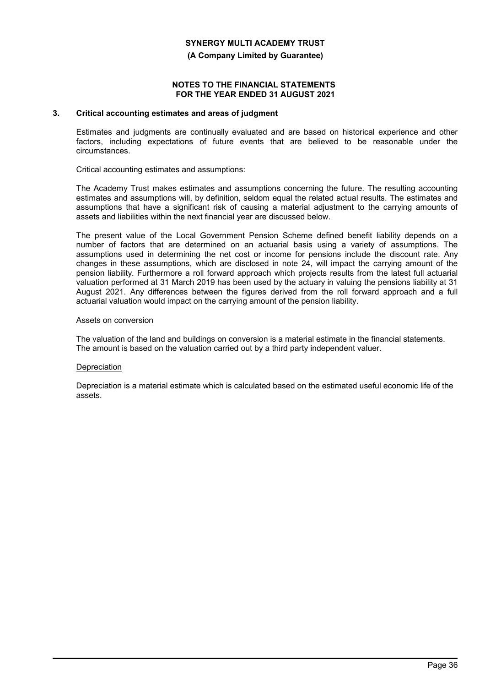#### **(A Company Limited by Guarantee)**

#### **NOTES TO THE FINANCIAL STATEMENTS FOR THE YEAR ENDED 31 AUGUST 2021**

## **3. Critical accounting estimates and areas of judgment**

Estimates and judgments are continually evaluated and are based on historical experience and other factors, including expectations of future events that are believed to be reasonable under the circumstances.

Critical accounting estimates and assumptions:

The Academy Trust makes estimates and assumptions concerning the future. The resulting accounting estimates and assumptions will, by definition, seldom equal the related actual results. The estimates and assumptions that have a significant risk of causing a material adjustment to the carrying amounts of assets and liabilities within the next financial year are discussed below.

The present value of the Local Government Pension Scheme defined benefit liability depends on a number of factors that are determined on an actuarial basis using a variety of assumptions. The assumptions used in determining the net cost or income for pensions include the discount rate. Any changes in these assumptions, which are disclosed in note 24, will impact the carrying amount of the pension liability. Furthermore a roll forward approach which projects results from the latest full actuarial valuation performed at 31 March 2019 has been used by the actuary in valuing the pensions liability at 31 August 2021. Any differences between the figures derived from the roll forward approach and a full actuarial valuation would impact on the carrying amount of the pension liability.

#### Assets on conversion

The valuation of the land and buildings on conversion is a material estimate in the financial statements. The amount is based on the valuation carried out by a third party independent valuer.

#### **Depreciation**

Depreciation is a material estimate which is calculated based on the estimated useful economic life of the assets.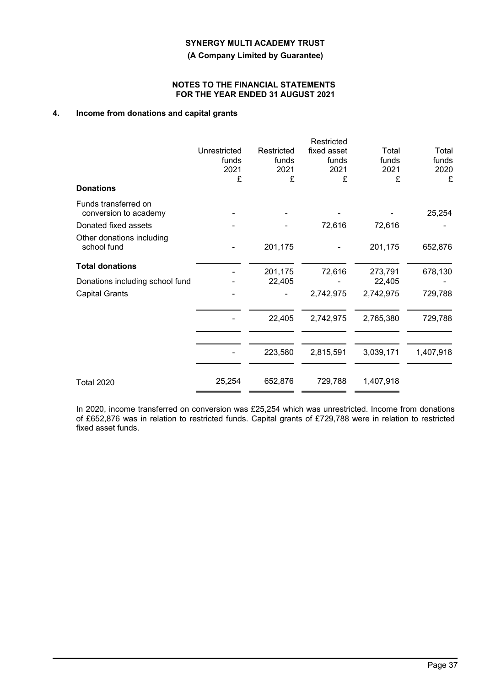**(A Company Limited by Guarantee)**

## **NOTES TO THE FINANCIAL STATEMENTS FOR THE YEAR ENDED 31 AUGUST 2021**

# **4. Income from donations and capital grants**

|                                               |                       |                     | Restricted           |                |                |
|-----------------------------------------------|-----------------------|---------------------|----------------------|----------------|----------------|
|                                               | Unrestricted<br>funds | Restricted<br>funds | fixed asset<br>funds | Total<br>funds | Total<br>funds |
|                                               | 2021                  | 2021                | 2021                 | 2021           | 2020           |
|                                               | £                     | £                   | £                    | £              | £              |
| <b>Donations</b>                              |                       |                     |                      |                |                |
| Funds transferred on<br>conversion to academy |                       |                     |                      |                | 25,254         |
| Donated fixed assets                          |                       |                     | 72,616               | 72,616         |                |
| Other donations including<br>school fund      |                       | 201,175             |                      | 201,175        | 652,876        |
| <b>Total donations</b>                        |                       | 201,175             | 72,616               | 273,791        | 678,130        |
| Donations including school fund               |                       | 22,405              |                      | 22,405         |                |
| <b>Capital Grants</b>                         |                       |                     | 2,742,975            | 2,742,975      | 729,788        |
|                                               |                       | 22,405              | 2,742,975            | 2,765,380      | 729,788        |
|                                               |                       | 223,580             | 2,815,591            | 3,039,171      | 1,407,918      |
| <b>Total 2020</b>                             | 25,254                | 652,876             | 729,788              | 1,407,918      |                |

In 2020, income transferred on conversion was £25,254 which was unrestricted. Income from donations of £652,876 was in relation to restricted funds. Capital grants of £729,788 were in relation to restricted fixed asset funds.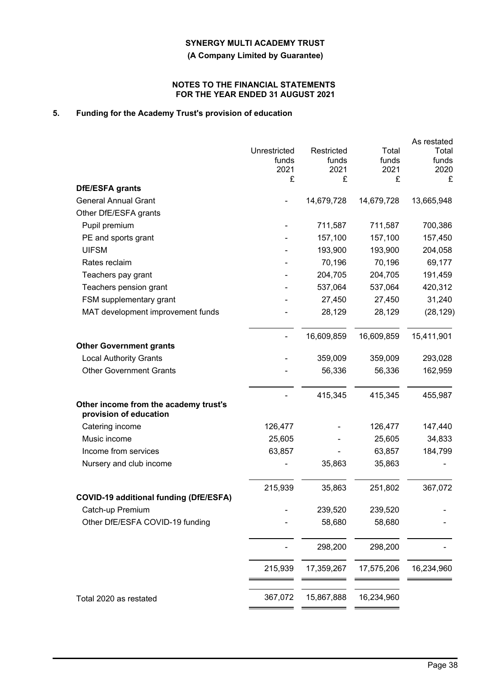**(A Company Limited by Guarantee)**

## **NOTES TO THE FINANCIAL STATEMENTS FOR THE YEAR ENDED 31 AUGUST 2021**

# **5. Funding for the Academy Trust's provision of education**

|                                                                 |              |            |            | As restated |
|-----------------------------------------------------------------|--------------|------------|------------|-------------|
|                                                                 | Unrestricted | Restricted | Total      | Total       |
|                                                                 | funds        | funds      | funds      | funds       |
|                                                                 | 2021<br>£    | 2021<br>£  | 2021<br>£  | 2020<br>£   |
| DfE/ESFA grants                                                 |              |            |            |             |
| <b>General Annual Grant</b>                                     |              | 14,679,728 | 14,679,728 | 13,665,948  |
| Other DfE/ESFA grants                                           |              |            |            |             |
| Pupil premium                                                   |              | 711,587    | 711,587    | 700,386     |
| PE and sports grant                                             |              | 157,100    | 157,100    | 157,450     |
| <b>UIFSM</b>                                                    |              | 193,900    | 193,900    | 204,058     |
| Rates reclaim                                                   |              | 70,196     | 70,196     | 69,177      |
| Teachers pay grant                                              |              | 204,705    | 204,705    | 191,459     |
| Teachers pension grant                                          |              | 537,064    | 537,064    | 420,312     |
| FSM supplementary grant                                         |              | 27,450     | 27,450     | 31,240      |
| MAT development improvement funds                               |              | 28,129     | 28,129     | (28, 129)   |
|                                                                 |              | 16,609,859 | 16,609,859 | 15,411,901  |
| <b>Other Government grants</b>                                  |              |            |            |             |
| <b>Local Authority Grants</b>                                   |              | 359,009    | 359,009    | 293,028     |
| <b>Other Government Grants</b>                                  |              | 56,336     | 56,336     | 162,959     |
|                                                                 |              | 415,345    | 415,345    | 455,987     |
| Other income from the academy trust's<br>provision of education |              |            |            |             |
| Catering income                                                 | 126,477      |            | 126,477    | 147,440     |
| Music income                                                    | 25,605       |            | 25,605     | 34,833      |
| Income from services                                            | 63,857       |            | 63,857     | 184,799     |
| Nursery and club income                                         |              | 35,863     | 35,863     |             |
|                                                                 | 215,939      | 35,863     | 251,802    | 367,072     |
| <b>COVID-19 additional funding (DfE/ESFA)</b>                   |              |            |            |             |
| Catch-up Premium                                                |              | 239,520    | 239,520    |             |
| Other DfE/ESFA COVID-19 funding                                 |              | 58,680     | 58,680     |             |
|                                                                 |              | 298,200    | 298,200    |             |
|                                                                 | 215,939      | 17,359,267 | 17,575,206 | 16,234,960  |
|                                                                 |              |            |            |             |
| Total 2020 as restated                                          | 367,072      | 15,867,888 | 16,234,960 |             |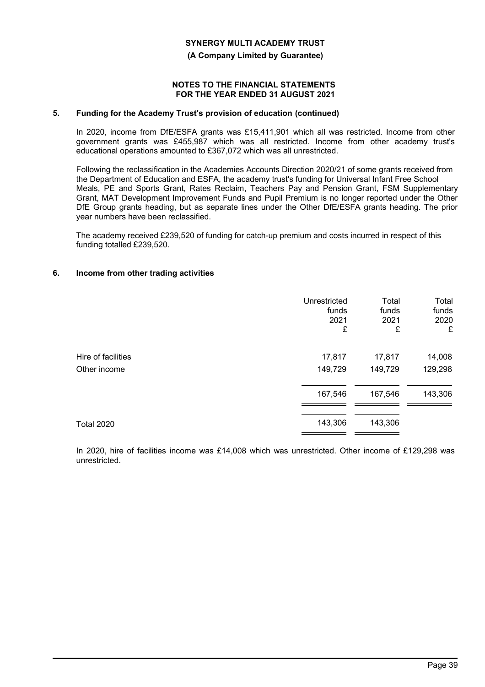#### **(A Company Limited by Guarantee)**

#### **NOTES TO THE FINANCIAL STATEMENTS FOR THE YEAR ENDED 31 AUGUST 2021**

## **5. Funding for the Academy Trust's provision of education (continued)**

In 2020, income from DfE/ESFA grants was £15,411,901 which all was restricted. Income from other government grants was £455,987 which was all restricted. Income from other academy trust's educational operations amounted to £367,072 which was all unrestricted.

Following the reclassification in the Academies Accounts Direction 2020/21 of some grants received from the Department of Education and ESFA, the academy trust's funding for Universal Infant Free School Meals, PE and Sports Grant, Rates Reclaim, Teachers Pay and Pension Grant, FSM Supplementary Grant, MAT Development Improvement Funds and Pupil Premium is no longer reported under the Other DfE Group grants heading, but as separate lines under the Other DfE/ESFA grants heading. The prior year numbers have been reclassified.

The academy received £239,520 of funding for catch-up premium and costs incurred in respect of this funding totalled £239,520.

## **6. Income from other trading activities**

|                    | Unrestricted | Total   | Total   |
|--------------------|--------------|---------|---------|
|                    | funds        | funds   | funds   |
|                    | 2021         | 2021    | 2020    |
|                    | £            | £       | £       |
| Hire of facilities | 17,817       | 17,817  | 14,008  |
| Other income       | 149,729      | 149,729 | 129,298 |
|                    | 167,546      | 167,546 | 143,306 |
| <b>Total 2020</b>  | 143,306      | 143,306 |         |

In 2020, hire of facilities income was £14,008 which was unrestricted. Other income of £129,298 was unrestricted.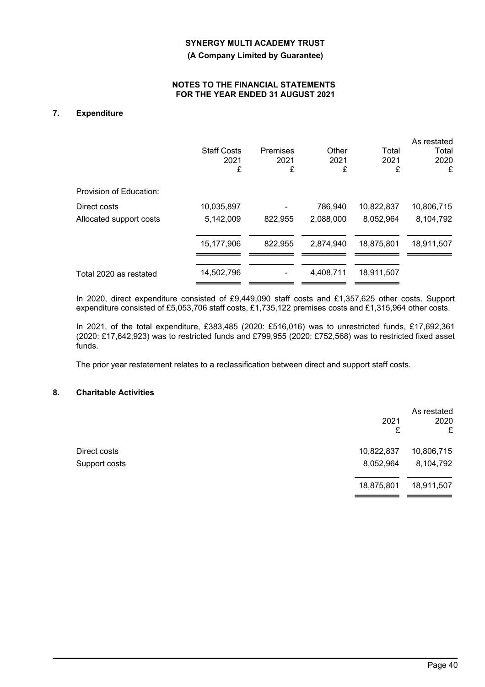**(A Company Limited by Guarantee)**

## **NOTES TO THE FINANCIAL STATEMENTS FOR THE YEAR ENDED 31 AUGUST 2021**

# **7. Expenditure**

|                         | <b>Staff Costs</b><br>2021<br>£ | Premises<br>2021<br>£ | Other<br>2021<br>£ | Total<br>2021<br>£ | As restated<br>Total<br>2020<br>£ |
|-------------------------|---------------------------------|-----------------------|--------------------|--------------------|-----------------------------------|
| Provision of Education: |                                 |                       |                    |                    |                                   |
| Direct costs            | 10,035,897                      |                       | 786,940            | 10,822,837         | 10,806,715                        |
| Allocated support costs | 5,142,009                       | 822,955               | 2,088,000          | 8,052,964          | 8,104,792                         |
|                         | 15,177,906                      | 822,955               | 2,874,940          | 18,875,801         | 18,911,507                        |
| Total 2020 as restated  | 14,502,796                      |                       | 4,408,711          | 18,911,507         |                                   |

In 2020, direct expenditure consisted of £9,449,090 staff costs and £1,357,625 other costs. Support expenditure consisted of £5,053,706 staff costs, £1,735,122 premises costs and £1,315,964 other costs.

In 2021, of the total expenditure, £383,485 (2020: £516,016) was to unrestricted funds, £17,692,361 (2020: £17,642,923) was to restricted funds and £799,955 (2020: £752,568) was to restricted fixed asset funds.

The prior year restatement relates to a reclassification between direct and support staff costs.

# **8. Charitable Activities**

|               | 2021<br>£  | As restated<br>2020<br>£ |
|---------------|------------|--------------------------|
| Direct costs  | 10,822,837 | 10,806,715               |
| Support costs | 8,052,964  | 8,104,792                |
|               | 18,875,801 | 18,911,507               |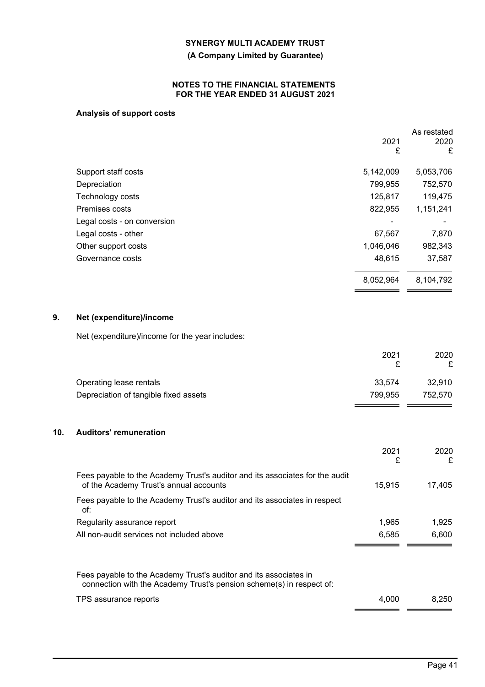## **(A Company Limited by Guarantee)**

## **NOTES TO THE FINANCIAL STATEMENTS FOR THE YEAR ENDED 31 AUGUST 2021**

# **Analysis of support costs**

|           | As restated |
|-----------|-------------|
| 2021      | 2020        |
| £         | £           |
| 5,142,009 | 5,053,706   |
| 799,955   | 752,570     |
| 125,817   | 119,475     |
| 822,955   | 1,151,241   |
|           |             |
| 67,567    | 7,870       |
| 1,046,046 | 982,343     |
| 48,615    | 37,587      |
| 8,052,964 | 8,104,792   |
|           |             |

# **9. Net (expenditure)/income**

Net (expenditure)/income for the year includes:

|                                       | 2021    | 2020    |
|---------------------------------------|---------|---------|
|                                       |         |         |
| Operating lease rentals               | 33.574  | 32.910  |
| Depreciation of tangible fixed assets | 799.955 | 752.570 |
|                                       |         |         |

## **10. Auditors' remuneration**

|                                                                                                                                          | 2021<br>£ | 2020<br>£ |
|------------------------------------------------------------------------------------------------------------------------------------------|-----------|-----------|
| Fees payable to the Academy Trust's auditor and its associates for the audit<br>of the Academy Trust's annual accounts                   | 15.915    | 17,405    |
| Fees payable to the Academy Trust's auditor and its associates in respect<br>of:                                                         |           |           |
| Regularity assurance report                                                                                                              | 1,965     | 1,925     |
| All non-audit services not included above                                                                                                | 6.585     | 6.600     |
|                                                                                                                                          |           |           |
| Fees payable to the Academy Trust's auditor and its associates in<br>connection with the Academy Trust's pension scheme(s) in respect of |           |           |

connection with the Academy Trust's pension scheme(s) in respect of: TPS assurance reports 8,250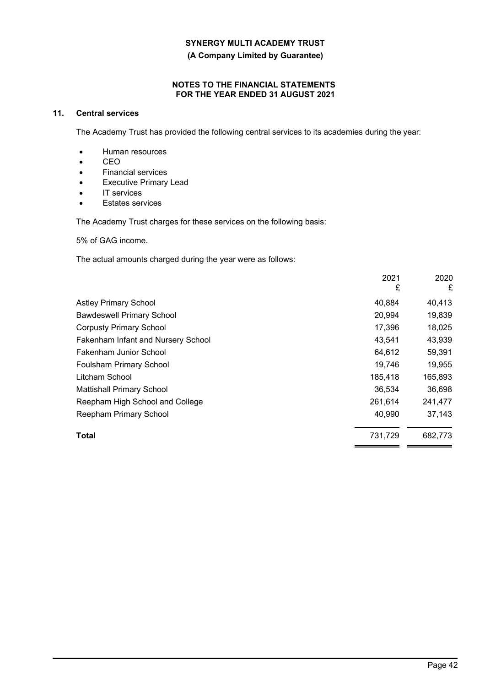**(A Company Limited by Guarantee)**

## **NOTES TO THE FINANCIAL STATEMENTS FOR THE YEAR ENDED 31 AUGUST 2021**

# **11. Central services**

The Academy Trust has provided the following central services to its academies during the year:

- Human resources
- CEO
- Financial services
- Executive Primary Lead
- IT services
- Estates services

The Academy Trust charges for these services on the following basis:

5% of GAG income.

The actual amounts charged during the year were as follows:

|                                    | 2021<br>£ | 2020<br>£ |
|------------------------------------|-----------|-----------|
| <b>Astley Primary School</b>       | 40,884    | 40,413    |
| <b>Bawdeswell Primary School</b>   | 20,994    | 19,839    |
| <b>Corpusty Primary School</b>     | 17,396    | 18,025    |
| Fakenham Infant and Nursery School | 43.541    | 43,939    |
| Fakenham Junior School             | 64,612    | 59,391    |
| Foulsham Primary School            | 19,746    | 19,955    |
| Litcham School                     | 185,418   | 165,893   |
| <b>Mattishall Primary School</b>   | 36,534    | 36,698    |
| Reepham High School and College    | 261,614   | 241,477   |
| Reepham Primary School             | 40,990    | 37,143    |
| Total                              | 731,729   | 682,773   |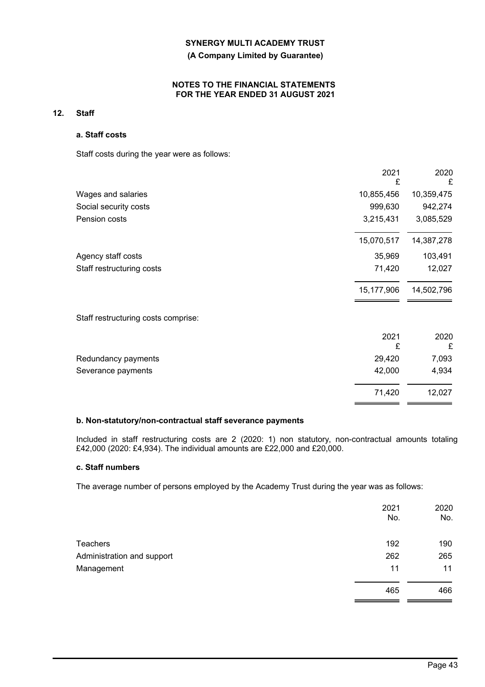## **(A Company Limited by Guarantee)**

## **NOTES TO THE FINANCIAL STATEMENTS FOR THE YEAR ENDED 31 AUGUST 2021**

## **12. Staff**

## **a. Staff costs**

Staff costs during the year were as follows:

|                                     | 2021<br>£  | 2020<br>£  |
|-------------------------------------|------------|------------|
| Wages and salaries                  | 10,855,456 | 10,359,475 |
| Social security costs               | 999,630    | 942,274    |
| Pension costs                       | 3,215,431  | 3,085,529  |
|                                     | 15,070,517 | 14,387,278 |
| Agency staff costs                  | 35,969     | 103,491    |
| Staff restructuring costs           | 71,420     | 12,027     |
|                                     | 15,177,906 | 14,502,796 |
| Staff restructuring costs comprise: |            |            |
|                                     | 2021<br>£  | 2020<br>£  |
| Redundancy payments                 | 29,420     | 7,093      |
| Severance payments                  | 42,000     | 4,934      |
|                                     | 71,420     | 12,027     |

## **b. Non-statutory/non-contractual staff severance payments**

Included in staff restructuring costs are 2 (2020: 1) non statutory, non-contractual amounts totaling £42,000 (2020: £4,934). The individual amounts are £22,000 and £20,000.

## **c. Staff numbers**

The average number of persons employed by the Academy Trust during the year was as follows:

|                            | 2021<br>No. | 2020<br>No. |
|----------------------------|-------------|-------------|
| <b>Teachers</b>            | 192         | 190         |
| Administration and support | 262         | 265         |
| Management                 | 11          | 11          |
|                            | 465         | 466         |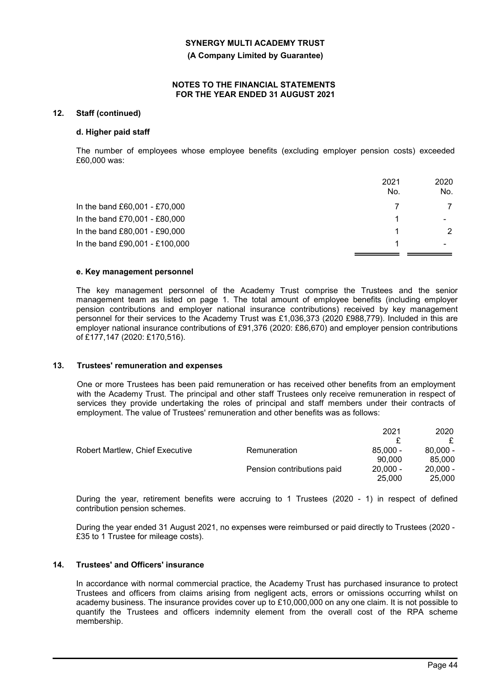**(A Company Limited by Guarantee)**

#### **NOTES TO THE FINANCIAL STATEMENTS FOR THE YEAR ENDED 31 AUGUST 2021**

## **12. Staff (continued)**

#### **d. Higher paid staff**

The number of employees whose employee benefits (excluding employer pension costs) exceeded £60,000 was:

|                                | 2021<br>No. | 2020<br>No.   |
|--------------------------------|-------------|---------------|
| In the band £60,001 - £70,000  |             |               |
| In the band £70,001 - £80,000  |             |               |
| In the band £80,001 - £90,000  |             | $\mathcal{P}$ |
| In the band £90,001 - £100,000 |             |               |

#### **e. Key management personnel**

The key management personnel of the Academy Trust comprise the Trustees and the senior management team as listed on page 1. The total amount of employee benefits (including employer pension contributions and employer national insurance contributions) received by key management personnel for their services to the Academy Trust was £1,036,373 (2020 £988,779). Included in this are employer national insurance contributions of £91,376 (2020: £86,670) and employer pension contributions of £177,147 (2020: £170,516).

#### **13. Trustees' remuneration and expenses**

One or more Trustees has been paid remuneration or has received other benefits from an employment with the Academy Trust. The principal and other staff Trustees only receive remuneration in respect of services they provide undertaking the roles of principal and staff members under their contracts of employment. The value of Trustees' remuneration and other benefits was as follows:

|                                 |                            | 2021       | 2020       |
|---------------------------------|----------------------------|------------|------------|
|                                 |                            |            |            |
| Robert Martlew, Chief Executive | Remuneration               | $85.000 -$ | $80.000 -$ |
|                                 |                            | 90.000     | 85,000     |
|                                 | Pension contributions paid | $20.000 -$ | $20.000 -$ |
|                                 |                            | 25,000     | 25,000     |
|                                 |                            |            |            |

During the year, retirement benefits were accruing to 1 Trustees (2020 - 1) in respect of defined contribution pension schemes.

During the year ended 31 August 2021, no expenses were reimbursed or paid directly to Trustees (2020 - £35 to 1 Trustee for mileage costs).

#### **14. Trustees' and Officers' insurance**

In accordance with normal commercial practice, the Academy Trust has purchased insurance to protect Trustees and officers from claims arising from negligent acts, errors or omissions occurring whilst on academy business. The insurance provides cover up to £10,000,000 on any one claim. It is not possible to quantify the Trustees and officers indemnity element from the overall cost of the RPA scheme membership.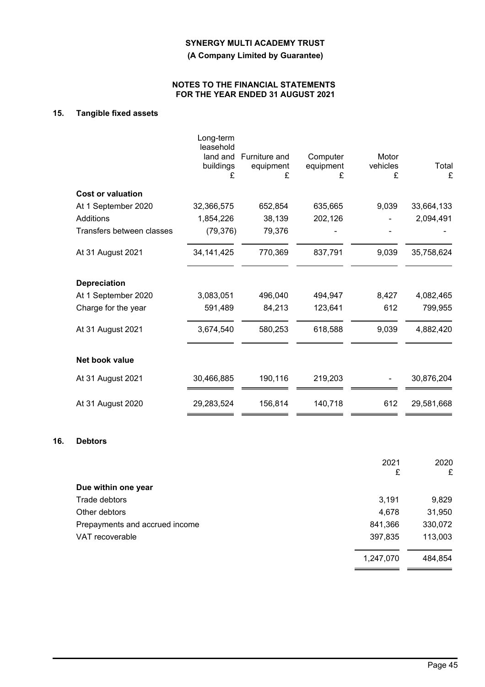**(A Company Limited by Guarantee)**

## **NOTES TO THE FINANCIAL STATEMENTS FOR THE YEAR ENDED 31 AUGUST 2021**

# **15. Tangible fixed assets**

|                           | Long-term<br>leasehold     |                                 |                            |                        |            |
|---------------------------|----------------------------|---------------------------------|----------------------------|------------------------|------------|
|                           | land and<br>buildings<br>£ | Furniture and<br>equipment<br>£ | Computer<br>equipment<br>£ | Motor<br>vehicles<br>£ | Total<br>£ |
| <b>Cost or valuation</b>  |                            |                                 |                            |                        |            |
| At 1 September 2020       | 32,366,575                 | 652,854                         | 635,665                    | 9,039                  | 33,664,133 |
| Additions                 | 1,854,226                  | 38,139                          | 202,126                    |                        | 2,094,491  |
| Transfers between classes | (79, 376)                  | 79,376                          |                            |                        |            |
| At 31 August 2021         | 34, 141, 425               | 770,369                         | 837,791                    | 9,039                  | 35,758,624 |
| <b>Depreciation</b>       |                            |                                 |                            |                        |            |
| At 1 September 2020       | 3,083,051                  | 496,040                         | 494,947                    | 8,427                  | 4,082,465  |
| Charge for the year       | 591,489                    | 84,213                          | 123,641                    | 612                    | 799,955    |
| At 31 August 2021         | 3,674,540                  | 580,253                         | 618,588                    | 9,039                  | 4,882,420  |
| Net book value            |                            |                                 |                            |                        |            |
| At 31 August 2021         | 30,466,885                 | 190,116                         | 219,203                    |                        | 30,876,204 |
| At 31 August 2020         | 29,283,524                 | 156,814                         | 140,718                    | 612                    | 29,581,668 |

#### **16. Debtors**

| 2021      | 2020<br>£ |
|-----------|-----------|
|           |           |
| 3,191     | 9,829     |
| 4,678     | 31,950    |
| 841,366   | 330,072   |
| 397,835   | 113,003   |
| 1,247,070 | 484,854   |
|           | £         |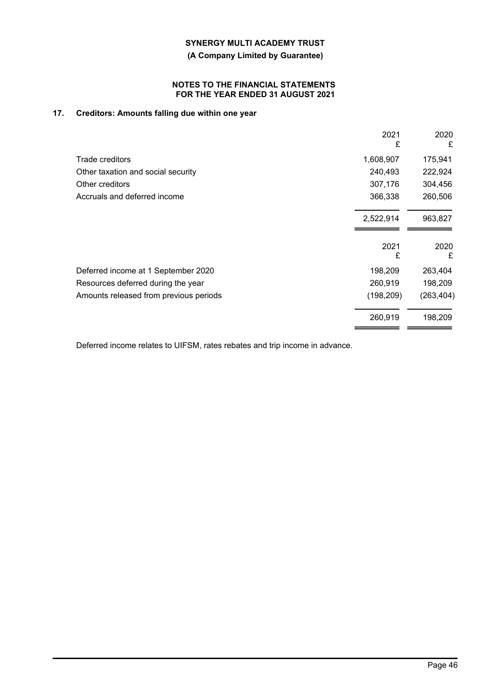**(A Company Limited by Guarantee)**

## **NOTES TO THE FINANCIAL STATEMENTS FOR THE YEAR ENDED 31 AUGUST 2021**

# **17. Creditors: Amounts falling due within one year**

|                                        | 2021<br>£  | 2020<br>£  |
|----------------------------------------|------------|------------|
| Trade creditors                        | 1,608,907  | 175,941    |
| Other taxation and social security     | 240,493    | 222,924    |
| Other creditors                        | 307,176    | 304,456    |
| Accruals and deferred income           | 366,338    | 260,506    |
|                                        | 2,522,914  | 963,827    |
|                                        | 2021<br>£  | 2020<br>£  |
| Deferred income at 1 September 2020    | 198,209    | 263,404    |
| Resources deferred during the year     | 260,919    | 198,209    |
| Amounts released from previous periods | (198, 209) | (263, 404) |
|                                        | 260,919    | 198,209    |

Deferred income relates to UIFSM, rates rebates and trip income in advance.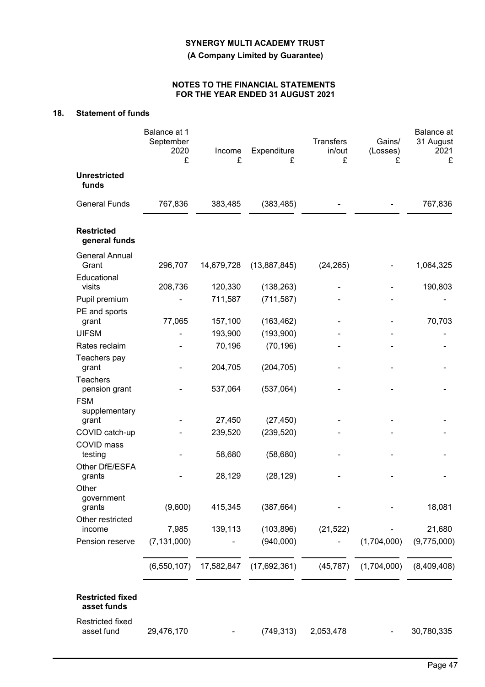**(A Company Limited by Guarantee)**

# **NOTES TO THE FINANCIAL STATEMENTS FOR THE YEAR ENDED 31 AUGUST 2021**

# **18. Statement of funds**

|                                          | Balance at 1<br>September<br>2020<br>£ | Income<br>£       | Expenditure<br>£        | <b>Transfers</b><br>in/out<br>£ | Gains/<br>(Losses)<br>£ | Balance at<br>31 August<br>2021<br>£ |
|------------------------------------------|----------------------------------------|-------------------|-------------------------|---------------------------------|-------------------------|--------------------------------------|
| <b>Unrestricted</b><br>funds             |                                        |                   |                         |                                 |                         |                                      |
| <b>General Funds</b>                     | 767,836                                | 383,485           | (383, 485)              |                                 |                         | 767,836                              |
| <b>Restricted</b><br>general funds       |                                        |                   |                         |                                 |                         |                                      |
| <b>General Annual</b><br>Grant           | 296,707                                | 14,679,728        | (13,887,845)            | (24, 265)                       |                         | 1,064,325                            |
| Educational<br>visits                    | 208,736                                | 120,330           | (138, 263)              |                                 |                         | 190,803                              |
| Pupil premium                            |                                        | 711,587           | (711, 587)              |                                 |                         |                                      |
| PE and sports<br>grant                   | 77,065                                 | 157,100           | (163, 462)              |                                 |                         | 70,703                               |
| <b>UIFSM</b>                             |                                        | 193,900           | (193,900)               |                                 |                         |                                      |
| Rates reclaim                            |                                        | 70,196            | (70, 196)               |                                 |                         |                                      |
| Teachers pay<br>grant                    |                                        | 204,705           | (204, 705)              |                                 |                         |                                      |
| <b>Teachers</b><br>pension grant         |                                        | 537,064           | (537,064)               |                                 |                         |                                      |
| <b>FSM</b><br>supplementary              |                                        |                   |                         |                                 |                         |                                      |
| grant<br>COVID catch-up                  |                                        | 27,450<br>239,520 | (27, 450)<br>(239, 520) |                                 |                         |                                      |
| COVID mass<br>testing                    |                                        | 58,680            | (58, 680)               |                                 |                         |                                      |
| Other DfE/ESFA                           |                                        |                   |                         |                                 |                         |                                      |
| grants<br>Other                          |                                        | 28,129            | (28, 129)               |                                 |                         |                                      |
| government<br>grants<br>Other restricted | (9,600)                                | 415,345           | (387, 664)              |                                 |                         | 18,081                               |
| income                                   | 7,985                                  | 139,113           | (103, 896)              | (21, 522)                       |                         | 21,680                               |
| Pension reserve                          | (7, 131, 000)                          |                   | (940,000)               |                                 | (1,704,000)             | (9,775,000)                          |
|                                          | (6, 550, 107)                          | 17,582,847        | (17,692,361)            | (45, 787)                       | (1,704,000)             | (8,409,408)                          |
| <b>Restricted fixed</b><br>asset funds   |                                        |                   |                         |                                 |                         |                                      |
| <b>Restricted fixed</b><br>asset fund    | 29,476,170                             |                   | (749, 313)              | 2,053,478                       |                         | 30,780,335                           |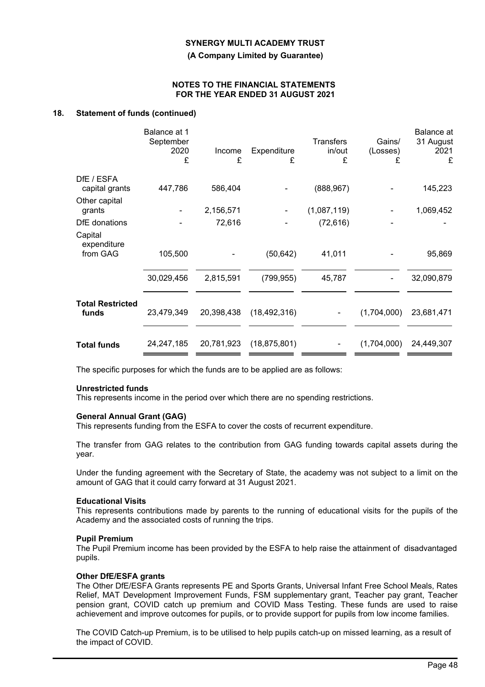**(A Company Limited by Guarantee)**

#### **NOTES TO THE FINANCIAL STATEMENTS FOR THE YEAR ENDED 31 AUGUST 2021**

## **18. Statement of funds (continued)**

|                                  | Balance at 1<br>September<br>2020<br>£ | Income<br>£ | Expenditure<br>£ | <b>Transfers</b><br>in/out<br>£ | Gains/<br>(Losses)<br>£ | Balance at<br>31 August<br>2021<br>£ |
|----------------------------------|----------------------------------------|-------------|------------------|---------------------------------|-------------------------|--------------------------------------|
| DfE / ESFA                       |                                        |             |                  |                                 |                         |                                      |
| capital grants                   | 447,786                                | 586,404     |                  | (888, 967)                      |                         | 145,223                              |
| Other capital<br>grants          |                                        | 2,156,571   |                  | (1,087,119)                     |                         | 1,069,452                            |
| DfE donations                    |                                        | 72,616      |                  | (72, 616)                       |                         |                                      |
| Capital<br>expenditure           |                                        |             |                  |                                 |                         |                                      |
| from GAG                         | 105,500                                |             | (50, 642)        | 41,011                          |                         | 95,869                               |
|                                  | 30,029,456                             | 2,815,591   | (799, 955)       | 45,787                          |                         | 32,090,879                           |
| <b>Total Restricted</b><br>funds | 23,479,349                             | 20,398,438  | (18, 492, 316)   |                                 | (1,704,000)             | 23,681,471                           |
| <b>Total funds</b>               | 24,247,185                             | 20,781,923  | (18, 875, 801)   |                                 | (1,704,000)             | 24,449,307                           |

The specific purposes for which the funds are to be applied are as follows:

#### **Unrestricted funds**

This represents income in the period over which there are no spending restrictions.

#### **General Annual Grant (GAG)**

This represents funding from the ESFA to cover the costs of recurrent expenditure.

The transfer from GAG relates to the contribution from GAG funding towards capital assets during the year.

Under the funding agreement with the Secretary of State, the academy was not subject to a limit on the amount of GAG that it could carry forward at 31 August 2021.

#### **Educational Visits**

This represents contributions made by parents to the running of educational visits for the pupils of the Academy and the associated costs of running the trips.

#### **Pupil Premium**

The Pupil Premium income has been provided by the ESFA to help raise the attainment of disadvantaged pupils.

#### **Other DfE/ESFA grants**

The Other DfE/ESFA Grants represents PE and Sports Grants, Universal Infant Free School Meals, Rates Relief, MAT Development Improvement Funds, FSM supplementary grant, Teacher pay grant, Teacher pension grant, COVID catch up premium and COVID Mass Testing. These funds are used to raise achievement and improve outcomes for pupils, or to provide support for pupils from low income families.

The COVID Catch-up Premium, is to be utilised to help pupils catch-up on missed learning, as a result of the impact of COVID.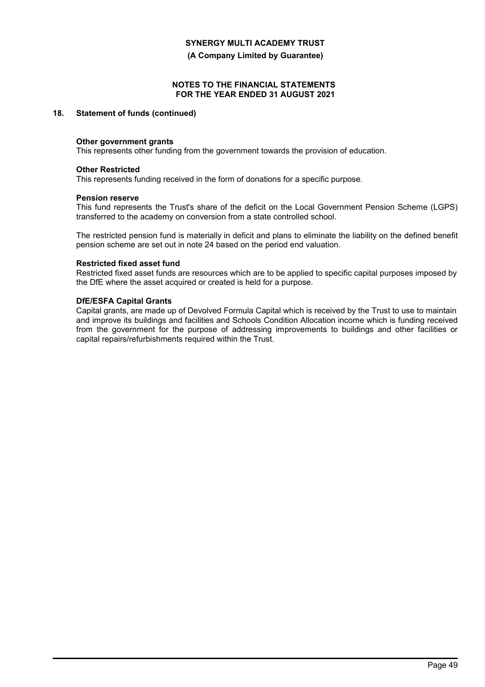**(A Company Limited by Guarantee)**

## **NOTES TO THE FINANCIAL STATEMENTS FOR THE YEAR ENDED 31 AUGUST 2021**

## **18. Statement of funds (continued)**

#### **Other government grants**

This represents other funding from the government towards the provision of education.

#### **Other Restricted**

This represents funding received in the form of donations for a specific purpose.

#### **Pension reserve**

This fund represents the Trust's share of the deficit on the Local Government Pension Scheme (LGPS) transferred to the academy on conversion from a state controlled school.

The restricted pension fund is materially in deficit and plans to eliminate the liability on the defined benefit pension scheme are set out in note 24 based on the period end valuation.

#### **Restricted fixed asset fund**

Restricted fixed asset funds are resources which are to be applied to specific capital purposes imposed by the DfE where the asset acquired or created is held for a purpose.

## **DfE/ESFA Capital Grants**

Capital grants, are made up of Devolved Formula Capital which is received by the Trust to use to maintain and improve its buildings and facilities and Schools Condition Allocation income which is funding received from the government for the purpose of addressing improvements to buildings and other facilities or capital repairs/refurbishments required within the Trust.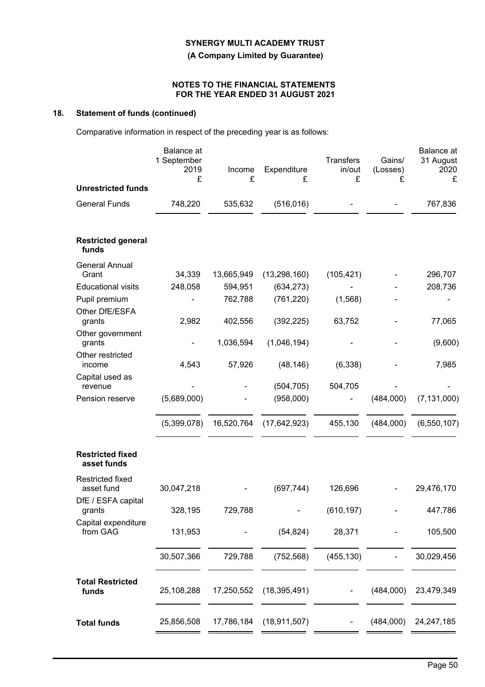**(A Company Limited by Guarantee)**

## **NOTES TO THE FINANCIAL STATEMENTS FOR THE YEAR ENDED 31 AUGUST 2021**

# **18. Statement of funds (continued)**

Comparative information in respect of the preceding year is as follows:

|                                        | Balance at<br>1 September<br>2019<br>£ | Income<br>£ | Expenditure<br>£ | <b>Transfers</b><br>in/out<br>£ | Gains/<br>(Losses)<br>£ | <b>Balance</b> at<br>31 August<br>2020<br>£ |
|----------------------------------------|----------------------------------------|-------------|------------------|---------------------------------|-------------------------|---------------------------------------------|
| <b>Unrestricted funds</b>              |                                        |             |                  |                                 |                         |                                             |
| <b>General Funds</b>                   | 748,220                                | 535,632     | (516, 016)       |                                 |                         | 767,836                                     |
| <b>Restricted general</b><br>funds     |                                        |             |                  |                                 |                         |                                             |
| <b>General Annual</b>                  |                                        |             |                  |                                 |                         |                                             |
| Grant                                  | 34,339                                 | 13,665,949  | (13, 298, 160)   | (105, 421)                      |                         | 296,707                                     |
| <b>Educational visits</b>              | 248,058                                | 594,951     | (634, 273)       |                                 |                         | 208,736                                     |
| Pupil premium                          |                                        | 762,788     | (761, 220)       | (1,568)                         |                         |                                             |
| Other DfE/ESFA<br>grants               | 2,982                                  | 402,556     | (392, 225)       | 63,752                          |                         | 77,065                                      |
| Other government<br>grants             | $\blacksquare$                         | 1,036,594   | (1,046,194)      |                                 |                         |                                             |
| Other restricted                       |                                        |             |                  |                                 |                         | (9,600)                                     |
| income                                 | 4,543                                  | 57,926      | (48, 146)        | (6, 338)                        |                         | 7,985                                       |
| Capital used as<br>revenue             |                                        |             | (504, 705)       | 504,705                         |                         |                                             |
| Pension reserve                        | (5,689,000)                            |             | (958,000)        |                                 | (484,000)               | (7, 131, 000)                               |
|                                        |                                        |             |                  |                                 |                         |                                             |
|                                        | (5,399,078)                            | 16,520,764  | (17, 642, 923)   | 455,130                         | (484,000)               | (6, 550, 107)                               |
| <b>Restricted fixed</b><br>asset funds |                                        |             |                  |                                 |                         |                                             |
| <b>Restricted fixed</b><br>asset fund  | 30,047,218                             |             | (697, 744)       | 126,696                         |                         | 29,476,170                                  |
| DfE / ESFA capital<br>grants           | 328,195                                | 729,788     |                  | (610, 197)                      |                         | 447,786                                     |
| Capital expenditure<br>from GAG        | 131,953                                |             | (54, 824)        | 28,371                          |                         | 105,500                                     |
|                                        | 30,507,366                             | 729,788     | (752, 568)       | (455, 130)                      |                         | 30,029,456                                  |
| <b>Total Restricted</b><br>funds       | 25,108,288                             | 17,250,552  | (18, 395, 491)   |                                 | (484,000)               | 23,479,349                                  |
| <b>Total funds</b>                     | 25,856,508                             | 17,786,184  | (18, 911, 507)   |                                 | (484,000)               | 24, 247, 185                                |
|                                        |                                        |             |                  |                                 |                         |                                             |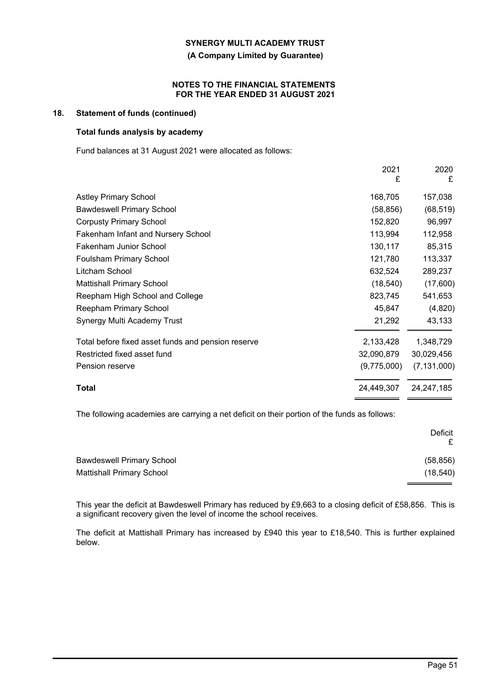**(A Company Limited by Guarantee)**

#### **NOTES TO THE FINANCIAL STATEMENTS FOR THE YEAR ENDED 31 AUGUST 2021**

## **18. Statement of funds (continued)**

## **Total funds analysis by academy**

Fund balances at 31 August 2021 were allocated as follows:

|                                                    | 2021<br>£   | 2020<br>£     |
|----------------------------------------------------|-------------|---------------|
| <b>Astley Primary School</b>                       | 168,705     | 157,038       |
| <b>Bawdeswell Primary School</b>                   | (58, 856)   | (68, 519)     |
| <b>Corpusty Primary School</b>                     | 152,820     | 96,997        |
| Fakenham Infant and Nursery School                 | 113,994     | 112,958       |
| Fakenham Junior School                             | 130,117     | 85,315        |
| Foulsham Primary School                            | 121,780     | 113,337       |
| Litcham School                                     | 632,524     | 289,237       |
| <b>Mattishall Primary School</b>                   | (18, 540)   | (17,600)      |
| Reepham High School and College                    | 823,745     | 541,653       |
| Reepham Primary School                             | 45,847      | (4,820)       |
| Synergy Multi Academy Trust                        | 21,292      | 43,133        |
| Total before fixed asset funds and pension reserve | 2,133,428   | 1,348,729     |
| Restricted fixed asset fund                        | 32,090,879  | 30,029,456    |
| Pension reserve                                    | (9,775,000) | (7, 131, 000) |
| Total                                              | 24,449,307  | 24, 247, 185  |

The following academies are carrying a net deficit on their portion of the funds as follows:

|                                  | Deficit   |
|----------------------------------|-----------|
| <b>Bawdeswell Primary School</b> | (58, 856) |
| Mattishall Primary School        | (18, 540) |
|                                  |           |

This year the deficit at Bawdeswell Primary has reduced by £9,663 to a closing deficit of £58,856. This is a significant recovery given the level of income the school receives.

The deficit at Mattishall Primary has increased by £940 this year to £18,540. This is further explained below.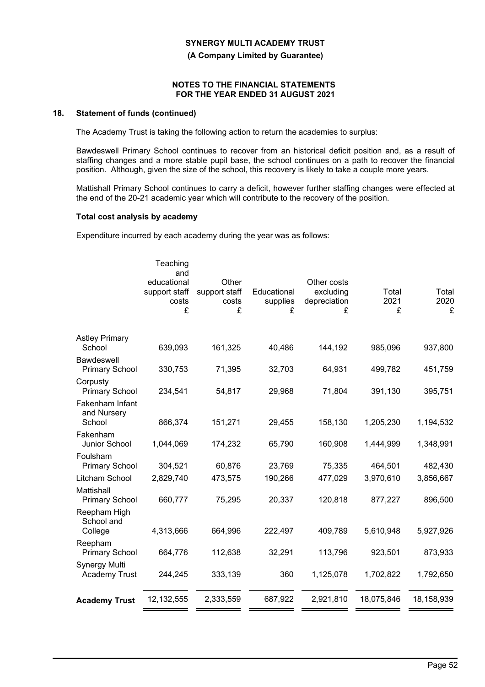**(A Company Limited by Guarantee)**

### **NOTES TO THE FINANCIAL STATEMENTS FOR THE YEAR ENDED 31 AUGUST 2021**

## **18. Statement of funds (continued)**

The Academy Trust is taking the following action to return the academies to surplus:

Bawdeswell Primary School continues to recover from an historical deficit position and, as a result of staffing changes and a more stable pupil base, the school continues on a path to recover the financial position. Although, given the size of the school, this recovery is likely to take a couple more years.

Mattishall Primary School continues to carry a deficit, however further staffing changes were effected at the end of the 20-21 academic year which will contribute to the recovery of the position.

#### **Total cost analysis by academy**

Expenditure incurred by each academy during the year was as follows:

|                                              | Teaching<br>and<br>educational<br>support staff<br>costs<br>£ | Other<br>support staff<br>costs<br>£ | Educational<br>supplies<br>£ | Other costs<br>excluding<br>depreciation<br>£ | Total<br>2021<br>£ | Total<br>2020<br>£ |
|----------------------------------------------|---------------------------------------------------------------|--------------------------------------|------------------------------|-----------------------------------------------|--------------------|--------------------|
| <b>Astley Primary</b><br>School              | 639,093                                                       | 161,325                              | 40,486                       | 144,192                                       | 985,096            | 937,800            |
| Bawdeswell<br><b>Primary School</b>          | 330,753                                                       | 71,395                               | 32,703                       | 64,931                                        | 499,782            | 451,759            |
| Corpusty<br><b>Primary School</b>            | 234,541                                                       | 54,817                               | 29,968                       | 71,804                                        | 391,130            | 395,751            |
| Fakenham Infant<br>and Nursery<br>School     | 866,374                                                       | 151,271                              | 29,455                       | 158,130                                       | 1,205,230          | 1,194,532          |
| Fakenham<br>Junior School                    | 1,044,069                                                     | 174,232                              | 65,790                       | 160,908                                       | 1,444,999          | 1,348,991          |
| Foulsham<br><b>Primary School</b>            | 304,521                                                       | 60,876                               | 23,769                       | 75,335                                        | 464,501            | 482,430            |
| Litcham School                               | 2,829,740                                                     | 473,575                              | 190,266                      | 477,029                                       | 3,970,610          | 3,856,667          |
| Mattishall<br><b>Primary School</b>          | 660,777                                                       | 75,295                               | 20,337                       | 120,818                                       | 877,227            | 896,500            |
| Reepham High<br>School and                   |                                                               |                                      |                              |                                               |                    |                    |
| College                                      | 4,313,666                                                     | 664,996                              | 222,497                      | 409,789                                       | 5,610,948          | 5,927,926          |
| Reepham<br><b>Primary School</b>             | 664,776                                                       | 112,638                              | 32,291                       | 113,796                                       | 923,501            | 873,933            |
| <b>Synergy Multi</b><br><b>Academy Trust</b> | 244,245                                                       | 333,139                              | 360                          | 1,125,078                                     | 1,702,822          | 1,792,650          |
| <b>Academy Trust</b>                         | 12,132,555                                                    | 2,333,559                            | 687,922                      | 2,921,810                                     | 18,075,846         | 18,158,939         |
|                                              |                                                               |                                      |                              |                                               |                    |                    |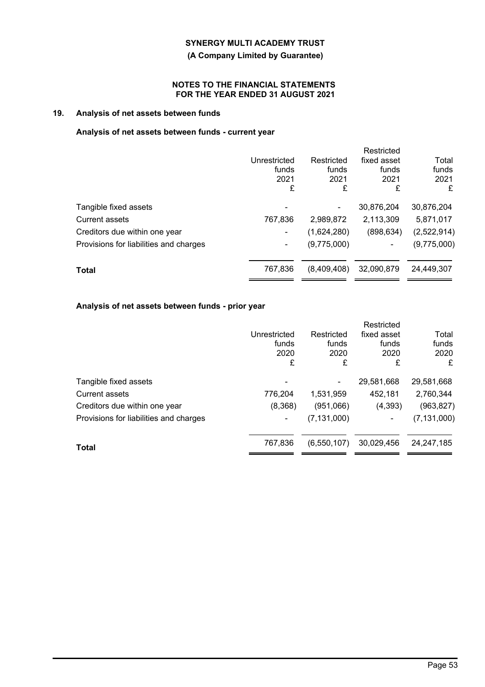**(A Company Limited by Guarantee)**

## **NOTES TO THE FINANCIAL STATEMENTS FOR THE YEAR ENDED 31 AUGUST 2021**

# **19. Analysis of net assets between funds**

# **Analysis of net assets between funds - current year**

|                                        |              |             | Restricted  |             |
|----------------------------------------|--------------|-------------|-------------|-------------|
|                                        | Unrestricted | Restricted  | fixed asset | Total       |
|                                        | funds        | funds       | funds       | funds       |
|                                        | 2021         | 2021        | 2021        | 2021        |
|                                        | £            | £           | £           | £           |
| Tangible fixed assets                  |              |             | 30,876,204  | 30,876,204  |
| <b>Current assets</b>                  | 767,836      | 2,989,872   | 2,113,309   | 5,871,017   |
| Creditors due within one year          |              | (1,624,280) | (898, 634)  | (2,522,914) |
| Provisions for liabilities and charges | ٠            | (9,775,000) | ۰           | (9,775,000) |
| <b>Total</b>                           | 767,836      | (8,409,408) | 32,090,879  | 24,449,307  |
|                                        |              |             |             |             |

## **Analysis of net assets between funds - prior year**

|                                        |              |               | Restricted  |               |
|----------------------------------------|--------------|---------------|-------------|---------------|
|                                        | Unrestricted | Restricted    | fixed asset | Total         |
|                                        | funds        | funds         | funds       | funds         |
|                                        | 2020         | 2020          | 2020        | 2020          |
|                                        | £            | £             | £           | £             |
| Tangible fixed assets                  |              |               | 29,581,668  | 29,581,668    |
| Current assets                         | 776,204      | 1,531,959     | 452,181     | 2,760,344     |
| Creditors due within one year          | (8,368)      | (951,066)     | (4,393)     | (963, 827)    |
| Provisions for liabilities and charges | ۰            | (7, 131, 000) | ۰           | (7, 131, 000) |
|                                        | 767,836      | (6, 550, 107) | 30,029,456  | 24, 247, 185  |
| <b>Total</b>                           |              |               |             |               |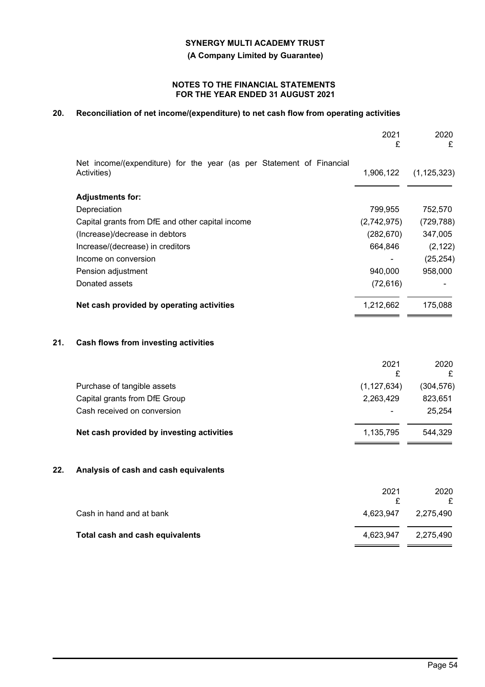**(A Company Limited by Guarantee)**

## **NOTES TO THE FINANCIAL STATEMENTS FOR THE YEAR ENDED 31 AUGUST 2021**

# **20. Reconciliation of net income/(expenditure) to net cash flow from operating activities**

|     |                                                                                     | 2021<br>£     | 2020<br>£     |
|-----|-------------------------------------------------------------------------------------|---------------|---------------|
|     | Net income/(expenditure) for the year (as per Statement of Financial<br>Activities) | 1,906,122     | (1, 125, 323) |
|     | <b>Adjustments for:</b>                                                             |               |               |
|     | Depreciation                                                                        | 799,955       | 752,570       |
|     | Capital grants from DfE and other capital income                                    | (2,742,975)   | (729, 788)    |
|     | (Increase)/decrease in debtors                                                      | (282, 670)    | 347,005       |
|     | Increase/(decrease) in creditors                                                    | 664,846       | (2, 122)      |
|     | Income on conversion                                                                |               | (25, 254)     |
|     | Pension adjustment                                                                  | 940,000       | 958,000       |
|     | Donated assets                                                                      | (72, 616)     |               |
|     | Net cash provided by operating activities                                           | 1,212,662     | 175,088       |
| 21. | <b>Cash flows from investing activities</b>                                         |               |               |
|     |                                                                                     | 2021<br>£     | 2020<br>£     |
|     | Purchase of tangible assets                                                         | (1, 127, 634) | (304, 576)    |
|     | Capital grants from DfE Group                                                       | 2,263,429     | 823,651       |
|     | Cash received on conversion                                                         |               | 25,254        |
|     | Net cash provided by investing activities                                           | 1,135,795     | 544,329       |
| 22. | Analysis of cash and cash equivalents                                               |               |               |
|     |                                                                                     | 2021<br>£     | 2020<br>£     |
|     | Cash in hand and at bank                                                            | 4,623,947     | 2,275,490     |
|     | Total cash and cash equivalents                                                     | 4,623,947     | 2,275,490     |
|     |                                                                                     |               |               |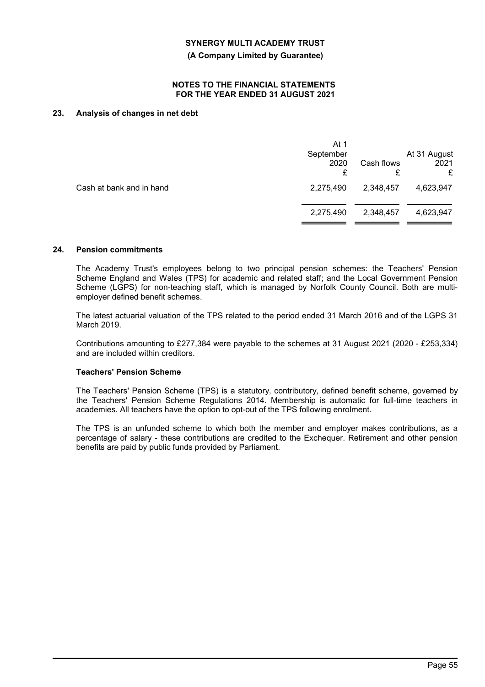**(A Company Limited by Guarantee)**

#### **NOTES TO THE FINANCIAL STATEMENTS FOR THE YEAR ENDED 31 AUGUST 2021**

## **23. Analysis of changes in net debt**

|                          | At 1<br>September<br>2020<br>£ | Cash flows<br>£ | At 31 August<br>2021<br>£ |
|--------------------------|--------------------------------|-----------------|---------------------------|
| Cash at bank and in hand | 2,275,490                      | 2,348,457       | 4,623,947                 |
|                          | 2,275,490                      | 2,348,457       | 4,623,947                 |
|                          |                                |                 |                           |

## **24. Pension commitments**

The Academy Trust's employees belong to two principal pension schemes: the Teachers' Pension Scheme England and Wales (TPS) for academic and related staff; and the Local Government Pension Scheme (LGPS) for non-teaching staff, which is managed by Norfolk County Council. Both are multiemployer defined benefit schemes.

The latest actuarial valuation of the TPS related to the period ended 31 March 2016 and of the LGPS 31 March 2019.

Contributions amounting to £277,384 were payable to the schemes at 31 August 2021 (2020 - £253,334) and are included within creditors.

#### **Teachers' Pension Scheme**

The Teachers' Pension Scheme (TPS) is a statutory, contributory, defined benefit scheme, governed by the Teachers' Pension Scheme Regulations 2014. Membership is automatic for full-time teachers in academies. All teachers have the option to opt-out of the TPS following enrolment.

The TPS is an unfunded scheme to which both the member and employer makes contributions, as a percentage of salary - these contributions are credited to the Exchequer. Retirement and other pension benefits are paid by public funds provided by Parliament.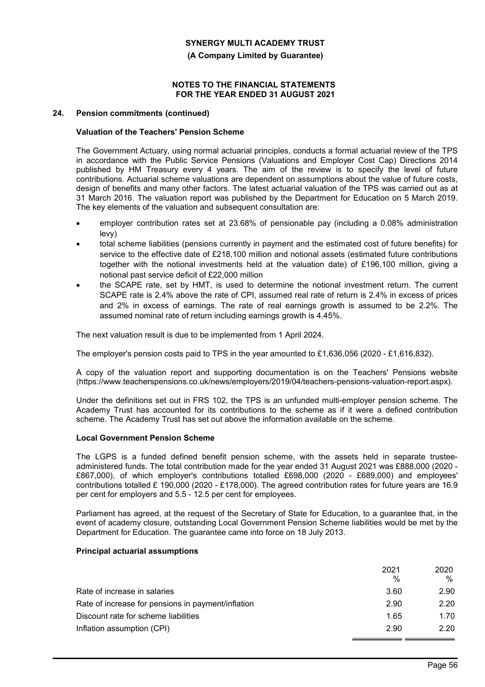**(A Company Limited by Guarantee)**

## **NOTES TO THE FINANCIAL STATEMENTS FOR THE YEAR ENDED 31 AUGUST 2021**

#### **24. Pension commitments (continued)**

## **Valuation of the Teachers' Pension Scheme**

The Government Actuary, using normal actuarial principles, conducts a formal actuarial review of the TPS in accordance with the Public Service Pensions (Valuations and Employer Cost Cap) Directions 2014 published by HM Treasury every 4 years. The aim of the review is to specify the level of future contributions. Actuarial scheme valuations are dependent on assumptions about the value of future costs, design of benefits and many other factors. The latest actuarial valuation of the TPS was carried out as at 31 March 2016. The valuation report was published by the Department for Education on 5 March 2019. The key elements of the valuation and subsequent consultation are:

- employer contribution rates set at 23.68% of pensionable pay (including a 0.08% administration levy)
- total scheme liabilities (pensions currently in payment and the estimated cost of future benefits) for service to the effective date of £218,100 million and notional assets (estimated future contributions together with the notional investments held at the valuation date) of £196,100 million, giving a notional past service deficit of £22,000 million
- the SCAPE rate, set by HMT, is used to determine the notional investment return. The current SCAPE rate is 2.4% above the rate of CPI, assumed real rate of return is 2.4% in excess of prices and 2% in excess of earnings. The rate of real earnings growth is assumed to be 2.2%. The assumed nominal rate of return including earnings growth is 4.45%.

The next valuation result is due to be implemented from 1 April 2024.

The employer's pension costs paid to TPS in the year amounted to £1,636,056 (2020 - £1,616,832).

A copy of the valuation report and supporting documentation is on the Teachers' Pensions website (https://www.teacherspensions.co.uk/news/employers/2019/04/teachers-pensions-valuation-report.aspx).

Under the definitions set out in FRS 102, the TPS is an unfunded multi-employer pension scheme. The Academy Trust has accounted for its contributions to the scheme as if it were a defined contribution scheme. The Academy Trust has set out above the information available on the scheme.

#### **Local Government Pension Scheme**

The LGPS is a funded defined benefit pension scheme, with the assets held in separate trusteeadministered funds. The total contribution made for the year ended 31 August 2021 was £888,000 (2020 - £867,000), of which employer's contributions totalled £698,000 (2020 - £689,000) and employees' contributions totalled £ 190,000 (2020 - £178,000). The agreed contribution rates for future years are 16.9 per cent for employers and 5.5 - 12.5 per cent for employees.

Parliament has agreed, at the request of the Secretary of State for Education, to a guarantee that, in the event of academy closure, outstanding Local Government Pension Scheme liabilities would be met by the Department for Education. The guarantee came into force on 18 July 2013.

## **Principal actuarial assumptions**

|                                                    | 2021          | 2020 |
|----------------------------------------------------|---------------|------|
|                                                    | $\frac{0}{0}$ | $\%$ |
| Rate of increase in salaries                       | 3.60          | 2.90 |
| Rate of increase for pensions in payment/inflation | 2.90          | 2.20 |
| Discount rate for scheme liabilities               | 1.65          | 1.70 |
| Inflation assumption (CPI)                         | 2.90          | 2.20 |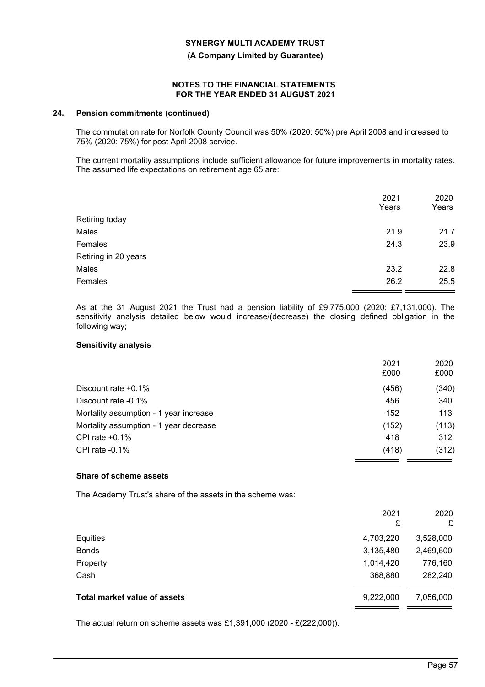**(A Company Limited by Guarantee)**

### **NOTES TO THE FINANCIAL STATEMENTS FOR THE YEAR ENDED 31 AUGUST 2021**

#### **24. Pension commitments (continued)**

The commutation rate for Norfolk County Council was 50% (2020: 50%) pre April 2008 and increased to 75% (2020: 75%) for post April 2008 service.

The current mortality assumptions include sufficient allowance for future improvements in mortality rates. The assumed life expectations on retirement age 65 are:

|                      | 2021<br>Years | 2020<br>Years |
|----------------------|---------------|---------------|
| Retiring today       |               |               |
| Males                | 21.9          | 21.7          |
| Females              | 24.3          | 23.9          |
| Retiring in 20 years |               |               |
| Males                | 23.2          | 22.8          |
| Females              | 26.2          | 25.5          |
|                      |               |               |

As at the 31 August 2021 the Trust had a pension liability of £9,775,000 (2020: £7,131,000). The sensitivity analysis detailed below would increase/(decrease) the closing defined obligation in the following way;

#### **Sensitivity analysis**

| 2021<br>£000 | 2020<br>£000 |
|--------------|--------------|
| (456)        | (340)        |
| 456          | 340          |
| 152          | 113          |
| (152)        | (113)        |
| 418          | 312          |
| (418)        | (312)        |
|              |              |

#### **Share of scheme assets**

The Academy Trust's share of the assets in the scheme was:

|                                     | 2021<br>£ | 2020<br>£ |
|-------------------------------------|-----------|-----------|
| Equities                            | 4,703,220 | 3,528,000 |
| <b>Bonds</b>                        | 3,135,480 | 2,469,600 |
| Property                            | 1,014,420 | 776,160   |
| Cash                                | 368,880   | 282,240   |
| <b>Total market value of assets</b> | 9,222,000 | 7,056,000 |
|                                     |           |           |

The actual return on scheme assets was £1,391,000 (2020 - £(222,000)).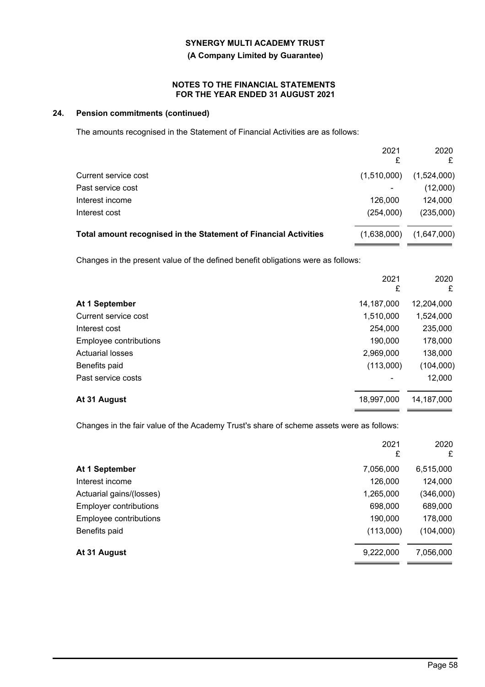**(A Company Limited by Guarantee)**

## **NOTES TO THE FINANCIAL STATEMENTS FOR THE YEAR ENDED 31 AUGUST 2021**

# **24. Pension commitments (continued)**

The amounts recognised in the Statement of Financial Activities are as follows:

|                                                                                  | 2021<br>£   | 2020<br>£   |
|----------------------------------------------------------------------------------|-------------|-------------|
| Current service cost                                                             | (1,510,000) | (1,524,000) |
| Past service cost                                                                |             | (12,000)    |
| Interest income                                                                  | 126,000     | 124,000     |
| Interest cost                                                                    | (254,000)   | (235,000)   |
| Total amount recognised in the Statement of Financial Activities                 | (1,638,000) | (1,647,000) |
| Changes in the present value of the defined benefit obligations were as follows: |             |             |
|                                                                                  | 2021<br>£   | 2020<br>£   |
| At 1 September                                                                   | 14,187,000  | 12,204,000  |
| Current service cost                                                             | 1,510,000   | 1,524,000   |
| Interest cost                                                                    | 254,000     | 235,000     |
| Employee contributions                                                           | 190,000     | 178,000     |
| <b>Actuarial losses</b>                                                          | 2,969,000   | 138,000     |
| Benefits paid                                                                    | (113,000)   | (104,000)   |
| Past service costs                                                               |             | 12,000      |
| At 31 August                                                                     | 18,997,000  | 14,187,000  |
|                                                                                  |             |             |

Changes in the fair value of the Academy Trust's share of scheme assets were as follows:

|                               | 2021<br>£ | 2020<br>£ |
|-------------------------------|-----------|-----------|
| At 1 September                | 7,056,000 | 6,515,000 |
| Interest income               | 126,000   | 124,000   |
| Actuarial gains/(losses)      | 1,265,000 | (346,000) |
| <b>Employer contributions</b> | 698,000   | 689,000   |
| Employee contributions        | 190,000   | 178,000   |
| Benefits paid                 | (113,000) | (104,000) |
| At 31 August                  | 9,222,000 | 7,056,000 |